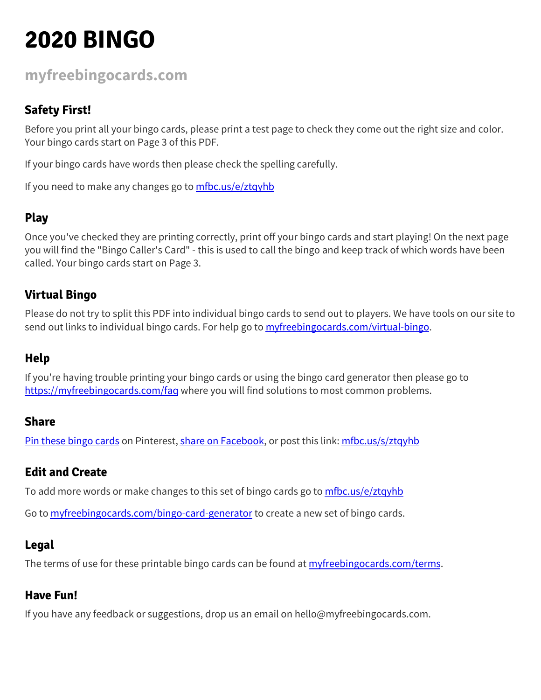### **[myfreebingocards.com](https://myfreebingocards.com/)**

#### **Safety First!**

Before you print all your bingo cards, please print a test page to check they come out the right size and color. Your bingo cards start on Page 3 of this PDF.

If your bingo cards have words then please check the spelling carefully.

If you need to make any changes go to [mfbc.us/e/ztqyhb](https://mfbc.us/e/ztqyhb)

#### **Play**

Once you've checked they are printing correctly, print off your bingo cards and start playing! On the next page you will find the "Bingo Caller's Card" - this is used to call the bingo and keep track of which words have been called. Your bingo cards start on Page 3.

#### **Virtual Bingo**

Please do not try to split this PDF into individual bingo cards to send out to players. We have tools on our site to send out links to individual bingo cards. For help go to *[myfreebingocards.com/virtual-bingo](https://myfreebingocards.com/virtual-bingo).* 

#### **Help**

If you're having trouble printing your bingo cards or using the bingo card generator then please go to <https://myfreebingocards.com/faq> where you will find solutions to most common problems.

#### **Share**

Pin these [bingo](https://pinterest.com/pin/create/bookmarklet/?media=https%3A%2F%2Fmyfreebingocards.com%2Fp%2Fztqyhb%2Fpin&url=https%3A%2F%2Fmfbc.us%2Fs%2Fztqyhb&description=2020+BINGO) cards on Pinterest, share on [Facebook,](https://www.facebook.com/sharer/sharer.php?u=https%3A%2F%2Fmfbc.us%2Fs%2Fztqyhb) or post this link: [mfbc.us/s/ztqyhb](https://mfbc.us/s/ztqyhb)

#### **Edit and Create**

To add more words or make changes to this set of bingo cards go to [mfbc.us/e/ztqyhb](https://mfbc.us/e/ztqyhb)

Go to **[myfreebingocards.com/bingo-card-generator](https://myfreebingocards.com/bingo-card-generator)** to create a new set of bingo cards.

#### **Legal**

The terms of use for these printable bingo cards can be found at *[myfreebingocards.com/terms.](https://myfreebingocards.com/terms)* 

#### **Have Fun!**

If you have any feedback or suggestions, drop us an email on hello@myfreebingocards.com.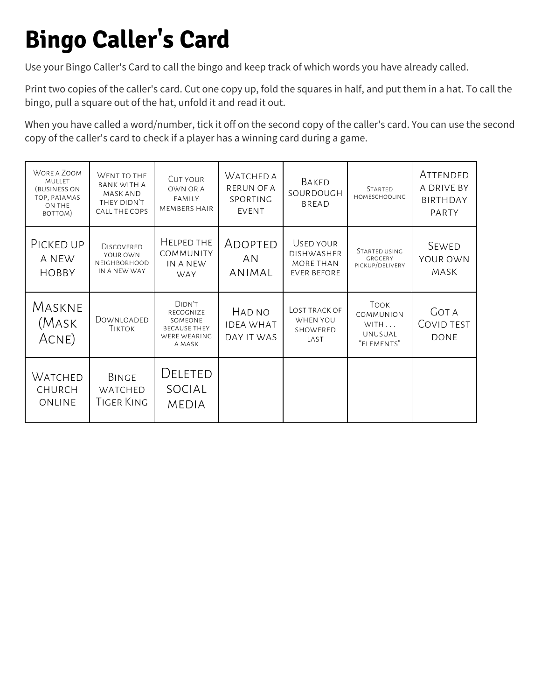### **Bingo Caller's Card**

Use your Bingo Caller's Card to call the bingo and keep track of which words you have already called.

Print two copies of the caller's card. Cut one copy up, fold the squares in half, and put them in a hat. To call the bingo, pull a square out of the hat, unfold it and read it out.

When you have called a word/number, tick it off on the second copy of the caller's card. You can use the second copy of the caller's card to check if a player has a winning card during a game.

| WORE A ZOOM<br><b>MULLET</b><br>(BUSINESS ON<br>TOP, PAJAMAS<br>ON THE<br>BOTTOM) | WENT TO THE<br><b>BANK WITH A</b><br><b>MASK AND</b><br>THEY DIDN'T<br>CALL THE COPS | <b>CUT YOUR</b><br>OWN OR A<br><b>FAMILY</b><br><b>MEMBERS HAIR</b>             | WATCHED A<br><b>RERUN OF A</b><br>SPORTING<br><b>EVENT</b> | BAKED<br>SOURDOUGH<br><b>BREAD</b>                                | <b>STARTED</b><br><b>HOMESCHOOLING</b>                    | ATTENDED<br>A DRIVE BY<br><b>BIRTHDAY</b><br>PARTY |
|-----------------------------------------------------------------------------------|--------------------------------------------------------------------------------------|---------------------------------------------------------------------------------|------------------------------------------------------------|-------------------------------------------------------------------|-----------------------------------------------------------|----------------------------------------------------|
| PICKED UP<br>A NEW<br><b>HOBBY</b>                                                | <b>DISCOVERED</b><br>YOUR OWN<br><b>NEIGHBORHOOD</b><br>IN A NEW WAY                 | HELPED THE<br><b>COMMUNITY</b><br>IN A NEW<br><b>WAY</b>                        | ADOPTED<br>AN<br>ANIMAL                                    | USED YOUR<br><b>DISHWASHER</b><br>MORE THAN<br><b>EVER BEFORE</b> | STARTED USING<br><b>GROCERY</b><br>PICKUP/DELIVERY        | SEWED<br>YOUR OWN<br>MASK                          |
| MASKNE<br>(Mask<br>ACNE)                                                          | DOWNLOADED<br><b>TIKTOK</b>                                                          | DIDN'T<br>RECOGNIZE<br>SOMEONE<br><b>BECAUSE THEY</b><br>WERE WEARING<br>A MASK | HAD NO<br><b>IDEA WHAT</b><br>DAY IT WAS                   | LOST TRACK OF<br>WHEN YOU<br>SHOWERED<br>LAST                     | Took<br>COMMUNION<br>WITH<br><b>UNUSUAL</b><br>"ELEMENTS" | <b>GOT A</b><br>COVID TEST<br><b>DONE</b>          |
| WATCHED<br>CHURCH<br>ONLINE                                                       | <b>BINGE</b><br>WATCHED<br>Tiger King                                                | DELETED<br>SOCIAL<br><b>MEDIA</b>                                               |                                                            |                                                                   |                                                           |                                                    |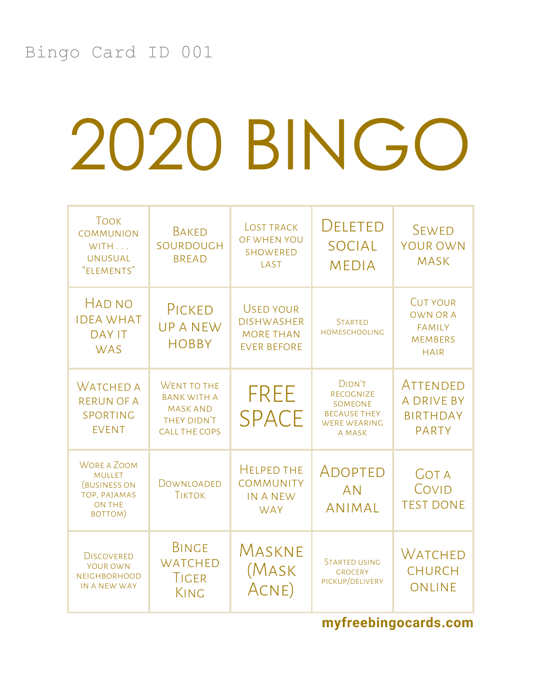| <b>TOOK</b><br><b>COMMUNION</b><br>WITH<br><b>UNUSUAL</b><br>"ELEMENTS"                                | <b>BAKED</b><br>SOURDOUGH<br><b>BREAD</b>                                                   | <b>LOST TRACK</b><br>OF WHEN YOU<br><b>SHOWERED</b><br>LAST                     | <b>DELETED</b><br><b>SOCIAL</b><br><b>MEDIA</b>                                               | <b>SEWED</b><br>YOUR OWN<br><b>MASK</b>                                              |
|--------------------------------------------------------------------------------------------------------|---------------------------------------------------------------------------------------------|---------------------------------------------------------------------------------|-----------------------------------------------------------------------------------------------|--------------------------------------------------------------------------------------|
| <b>HAD NO</b><br><b>IDEA WHAT</b><br><b>DAY IT</b><br><b>WAS</b>                                       | PICKED<br><b>UPANEW</b><br><b>HOBBY</b>                                                     | <b>USED YOUR</b><br><b>DISHWASHER</b><br><b>MORE THAN</b><br><b>EVER BEFORE</b> | <b>STARTED</b><br><b>HOMESCHOOLING</b>                                                        | <b>CUT YOUR</b><br><b>OWN OR A</b><br><b>FAMILY</b><br><b>MEMBERS</b><br><b>HAIR</b> |
| <b>WATCHED A</b><br><b>RERUN OF A</b><br>SPORTING<br><b>EVENT</b>                                      | WENT TO THE<br><b>BANK WITH A</b><br><b>MASK AND</b><br>THEY DIDN'T<br><b>CALL THE COPS</b> | <b>FREE</b><br><b>SPACE</b>                                                     | DIDN'T<br>RECOGNIZE<br><b>SOMEONE</b><br><b>BECAUSE THEY</b><br><b>WERE WEARING</b><br>A MASK | ATTENDED<br><b>A DRIVE BY</b><br><b>BIRTHDAY</b><br><b>PARTY</b>                     |
| <b>WORE A ZOOM</b><br><b>MULLET</b><br><b>(BUSINESS ON</b><br>TOP, PAJAMAS<br><b>ON THE</b><br>BOTTOM) | DOWNLOADED<br><b>TIKTOK</b>                                                                 | <b>HELPED THE</b><br><b>COMMUNITY</b><br><b>IN A NEW</b><br><b>WAY</b>          | ADOPTED<br><b>AN</b><br><b>ANIMAL</b>                                                         | <b>GOT A</b><br>COVID<br><b>TEST DONE</b>                                            |
| <b>DISCOVERED</b><br>YOUR OWN<br><b>NEIGHBORHOOD</b><br>IN A NEW WAY                                   | <b>BINGE</b><br><b>WATCHED</b><br>TIGER<br>KING                                             | MASKNE<br>(Mask<br>ACNE)                                                        | <b>STARTED USING</b><br><b>GROCERY</b><br>PICKUP/DELIVERY                                     | <b>WATCHED</b><br><b>CHURCH</b><br><b>ONLINE</b>                                     |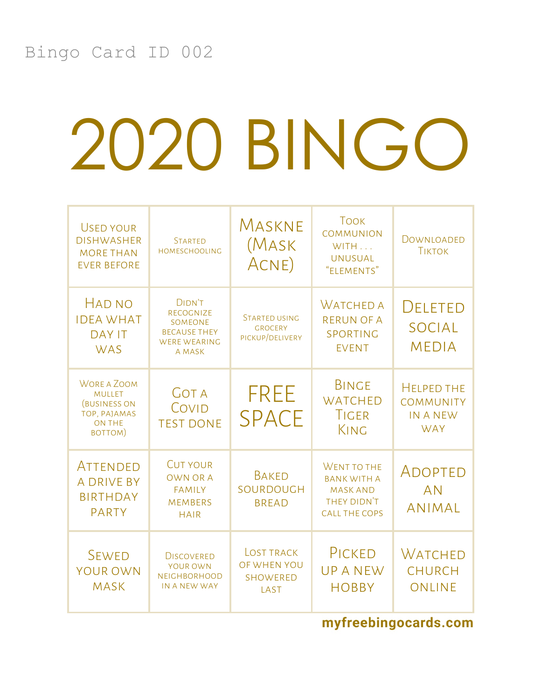| <b>USED YOUR</b><br><b>DISHWASHER</b><br><b>MORE THAN</b><br><b>EVER BEFORE</b>                 | <b>STARTED</b><br><b>HOMESCHOOLING</b>                                                                      | MASKNE<br>(Mask<br>ACNE)                                    | <b>TOOK</b><br><b>COMMUNION</b><br>WITH<br><b>UNUSUAL</b><br>"ELEMENTS"                     | DOWNLOADED<br><b>TIKTOK</b>                                     |
|-------------------------------------------------------------------------------------------------|-------------------------------------------------------------------------------------------------------------|-------------------------------------------------------------|---------------------------------------------------------------------------------------------|-----------------------------------------------------------------|
| <b>HAD NO</b><br><b>IDEA WHAT</b><br><b>DAY IT</b><br><b>WAS</b>                                | <b>DIDN'T</b><br><b>RECOGNIZE</b><br>SOMEONE<br><b>BECAUSE THEY</b><br><b>WERE WEARING</b><br><b>A MASK</b> | <b>STARTED USING</b><br><b>GROCERY</b><br>PICKUP/DELIVERY   | <b>WATCHED A</b><br><b>RERUN OF A</b><br>SPORTING<br><b>EVENT</b>                           | <b>DELETED</b><br><b>SOCIAL</b><br><b>MEDIA</b>                 |
| <b>WORE A ZOOM</b><br><b>MULLET</b><br>(BUSINESS ON<br>TOP, PAJAMAS<br><b>ON THE</b><br>BOTTOM) | <b>GOT A</b><br>COVID<br><b>TEST DONE</b>                                                                   | <b>FREE</b><br><b>SPACE</b>                                 | <b>BINGE</b><br><b>WATCHED</b><br><b>TIGER</b><br>KING                                      | <b>HELPED THE</b><br><b>COMMUNITY</b><br>IN A NEW<br><b>WAY</b> |
| <b>ATTENDED</b><br>A DRIVE BY<br><b>BIRTHDAY</b><br><b>PARTY</b>                                | <b>CUT YOUR</b><br><b>OWN OR A</b><br><b>FAMILY</b><br><b>MEMBERS</b><br><b>HAIR</b>                        | <b>BAKED</b><br>SOURDOUGH<br><b>BREAD</b>                   | WENT TO THE<br><b>BANK WITH A</b><br><b>MASK AND</b><br>THEY DIDN'T<br><b>CALL THE COPS</b> | ADOPTED<br><b>AN</b><br><b>ANIMAL</b>                           |
| <b>SEWED</b><br><b>YOUR OWN</b><br><b>MASK</b>                                                  | <b>DISCOVERED</b><br>YOUR OWN<br><b>NEIGHBORHOOD</b><br>IN A NEW WAY                                        | <b>LOST TRACK</b><br>OF WHEN YOU<br><b>SHOWERED</b><br>LAST | PICKED<br><b>UPANEW</b><br><b>HOBBY</b>                                                     | <b>WATCHED</b><br><b>CHURCH</b><br><b>ONLINE</b>                |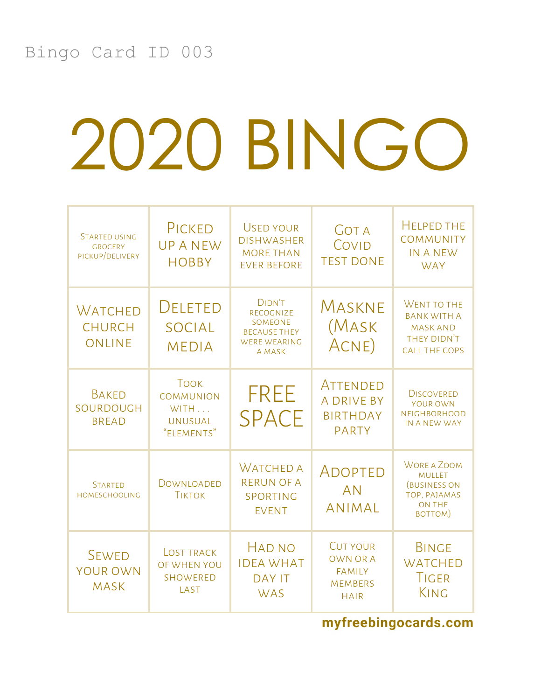| <b>STARTED USING</b><br><b>GROCERY</b><br>PICKUP/DELIVERY | PICKED<br><b>UPANEW</b><br><b>HOBBY</b>                                 | <b>USED YOUR</b><br><b>DISHWASHER</b><br><b>MORE THAN</b><br><b>EVER BEFORE</b>        | <b>GOT A</b><br>COVID<br><b>TEST DONE</b>                                            | <b>HELPED THE</b><br><b>COMMUNITY</b><br><b>IN A NEW</b><br><b>WAY</b>                                 |
|-----------------------------------------------------------|-------------------------------------------------------------------------|----------------------------------------------------------------------------------------|--------------------------------------------------------------------------------------|--------------------------------------------------------------------------------------------------------|
| <b>WATCHED</b><br><b>CHURCH</b><br><b>ONLINE</b>          | DELETED<br><b>SOCIAL</b><br><b>MEDIA</b>                                | DIDN'T<br>RECOGNIZE<br>SOMEONE<br><b>BECAUSE THEY</b><br><b>WERE WEARING</b><br>A MASK | MASKNE<br>(Mask<br>ACNE)                                                             | WENT TO THE<br><b>BANK WITH A</b><br><b>MASK AND</b><br><b>THEY DIDN'T</b><br><b>CALL THE COPS</b>     |
| <b>BAKED</b><br>SOURDOUGH<br><b>BREAD</b>                 | <b>TOOK</b><br><b>COMMUNION</b><br>WITH<br><b>UNUSUAL</b><br>"ELEMENTS" | <b>FREE</b><br><b>SPACE</b>                                                            | <b>ATTENDED</b><br><b>A DRIVE BY</b><br><b>BIRTHDAY</b><br><b>PARTY</b>              | <b>DISCOVERED</b><br>YOUR OWN<br><b>NEIGHBORHOOD</b><br>IN A NEW WAY                                   |
| <b>STARTED</b><br><b>HOMESCHOOLING</b>                    | DOWNLOADED<br><b>TIKTOK</b>                                             | <b>WATCHED A</b><br><b>RERUN OF A</b><br>SPORTING<br><b>EVENT</b>                      | ADOPTED<br><b>AN</b><br><b>ANIMAL</b>                                                | <b>WORE A ZOOM</b><br><b>MULLET</b><br><b>(BUSINESS ON</b><br>TOP, PAJAMAS<br><b>ON THE</b><br>BOTTOM) |
| <b>SEWED</b><br><b>YOUR OWN</b><br><b>MASK</b>            | <b>LOST TRACK</b><br>OF WHEN YOU<br><b>SHOWERED</b><br>LAST             | HAD NO<br><b>IDEA WHAT</b><br><b>DAY IT</b><br><b>WAS</b>                              | <b>CUT YOUR</b><br><b>OWN OR A</b><br><b>FAMILY</b><br><b>MEMBERS</b><br><b>HAIR</b> | <b>BINGE</b><br><b>WATCHED</b><br>TIGER<br>KING                                                        |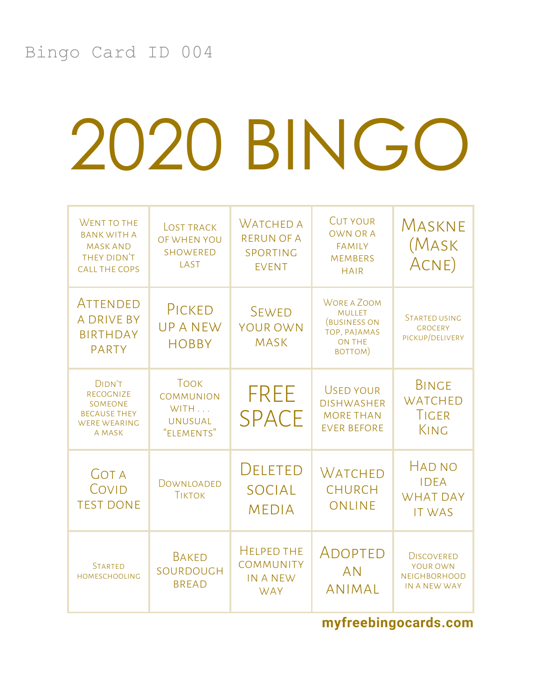| <b>WENT TO THE</b><br><b>BANK WITH A</b><br><b>MASK AND</b><br>THEY DIDN'T<br><b>CALL THE COPS</b> | <b>LOST TRACK</b><br>OF WHEN YOU<br><b>SHOWERED</b><br>LAST             | <b>WATCHED A</b><br><b>RERUN OF A</b><br>SPORTING<br><b>EVENT</b>      | <b>CUT YOUR</b><br><b>OWN OR A</b><br><b>FAMILY</b><br><b>MEMBERS</b><br><b>HAIR</b>            | MASKNE<br>(MASK<br>ACNE)                                             |
|----------------------------------------------------------------------------------------------------|-------------------------------------------------------------------------|------------------------------------------------------------------------|-------------------------------------------------------------------------------------------------|----------------------------------------------------------------------|
| <b>ATTENDED</b><br><b>A DRIVE BY</b><br><b>BIRTHDAY</b><br><b>PARTY</b>                            | PICKED<br><b>UPANEW</b><br><b>HOBBY</b>                                 | <b>SEWED</b><br><b>YOUR OWN</b><br><b>MASK</b>                         | <b>WORE A ZOOM</b><br><b>MULLET</b><br>(BUSINESS ON<br>TOP, PAJAMAS<br><b>ON THE</b><br>BOTTOM) | <b>STARTED USING</b><br><b>GROCERY</b><br>PICKUP/DELIVERY            |
| DIDN'T<br><b>RECOGNIZE</b><br>SOMEONE<br><b>BECAUSE THEY</b><br><b>WERE WEARING</b><br>A MASK      | <b>TOOK</b><br><b>COMMUNION</b><br>WITH<br><b>UNUSUAL</b><br>"ELEMENTS" | <b>FREE</b><br><b>SPACE</b>                                            | <b>USED YOUR</b><br><b>DISHWASHER</b><br><b>MORE THAN</b><br><b>EVER BEFORE</b>                 | <b>BINGE</b><br><b>WATCHED</b><br>TIGER<br>KING                      |
| <b>GOT A</b><br>COVID<br><b>TEST DONE</b>                                                          | DOWNLOADED<br><b>TIKTOK</b>                                             | DELETED<br><b>SOCIAL</b><br><b>MEDIA</b>                               | <b>WATCHED</b><br><b>CHURCH</b><br>ONLINE                                                       | <b>HAD NO</b><br><b>IDEA</b><br><b>WHAT DAY</b><br><b>IT WAS</b>     |
| <b>STARTED</b><br><b>HOMESCHOOLING</b>                                                             | <b>BAKED</b><br>SOURDOUGH<br><b>BREAD</b>                               | <b>HELPED THE</b><br><b>COMMUNITY</b><br><b>IN A NEW</b><br><b>WAY</b> | ADOPTED<br><b>AN</b><br><b>ANIMAL</b>                                                           | <b>DISCOVERED</b><br>YOUR OWN<br><b>NEIGHBORHOOD</b><br>IN A NEW WAY |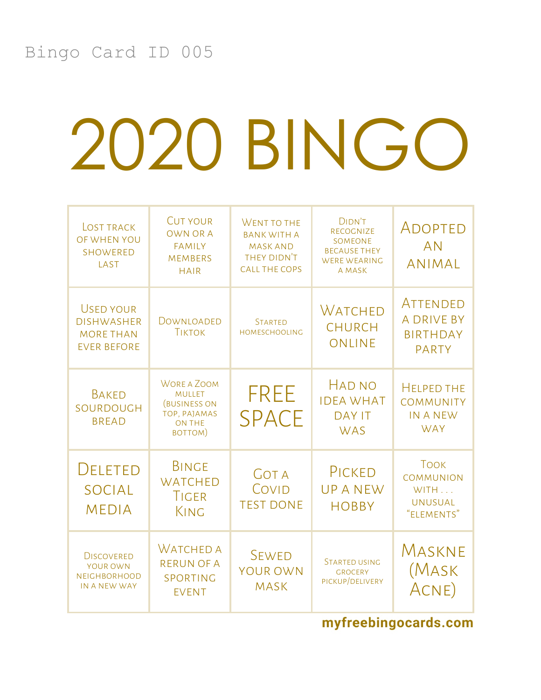| <b>LOST TRACK</b><br>OF WHEN YOU<br><b>SHOWERED</b><br>LAST                     | <b>CUT YOUR</b><br><b>OWN OR A</b><br><b>FAMILY</b><br><b>MEMBERS</b><br><b>HAIR</b>                   | <b>WENT TO THE</b><br><b>BANK WITH A</b><br><b>MASK AND</b><br>THEY DIDN'T<br><b>CALL THE COPS</b> | <b>DIDN'T</b><br><b>RECOGNIZE</b><br>SOMEONE<br><b>BECAUSE THEY</b><br><b>WERE WEARING</b><br>A MASK | ADOPTED<br><b>AN</b><br><b>ANIMAL</b>                                   |
|---------------------------------------------------------------------------------|--------------------------------------------------------------------------------------------------------|----------------------------------------------------------------------------------------------------|------------------------------------------------------------------------------------------------------|-------------------------------------------------------------------------|
| <b>USED YOUR</b><br><b>DISHWASHER</b><br><b>MORE THAN</b><br><b>EVER BEFORE</b> | DOWNLOADED<br><b>TIKTOK</b>                                                                            | <b>STARTED</b><br><b>HOMESCHOOLING</b>                                                             | <b>WATCHED</b><br><b>CHURCH</b><br>ONLINE                                                            | <b>ATTENDED</b><br><b>A DRIVE BY</b><br><b>BIRTHDAY</b><br><b>PARTY</b> |
| <b>BAKED</b><br>SOURDOUGH<br><b>BREAD</b>                                       | <b>WORE A ZOOM</b><br><b>MULLET</b><br><b>(BUSINESS ON</b><br>TOP, PAJAMAS<br><b>ON THE</b><br>BOTTOM) | <b>FREE</b><br><b>SPACE</b>                                                                        | <b>HAD NO</b><br><b>IDEA WHAT</b><br><b>DAY IT</b><br><b>WAS</b>                                     | <b>HELPED THE</b><br><b>COMMUNITY</b><br><b>IN A NEW</b><br><b>WAY</b>  |
| <b>DELETED</b><br><b>SOCIAL</b><br><b>MEDIA</b>                                 | <b>BINGE</b><br><b>WATCHED</b><br><b>TIGER</b><br>KING                                                 | <b>GOT A</b><br>COVID<br><b>TEST DONE</b>                                                          | PICKED<br><b>UPANEW</b><br><b>HOBBY</b>                                                              | <b>TOOK</b><br><b>COMMUNION</b><br>WITH<br><b>UNUSUAL</b><br>"ELEMENTS" |
| <b>DISCOVERED</b><br>YOUR OWN<br><b>NEIGHBORHOOD</b><br>IN A NEW WAY            | <b>WATCHED A</b><br><b>RERUN OF A</b><br>SPORTING<br><b>EVENT</b>                                      | <b>SEWED</b><br><b>YOUR OWN</b><br><b>MASK</b>                                                     | <b>STARTED USING</b><br><b>GROCERY</b><br>PICKUP/DELIVERY                                            | MASKNE<br>(Mask<br>ACNE)                                                |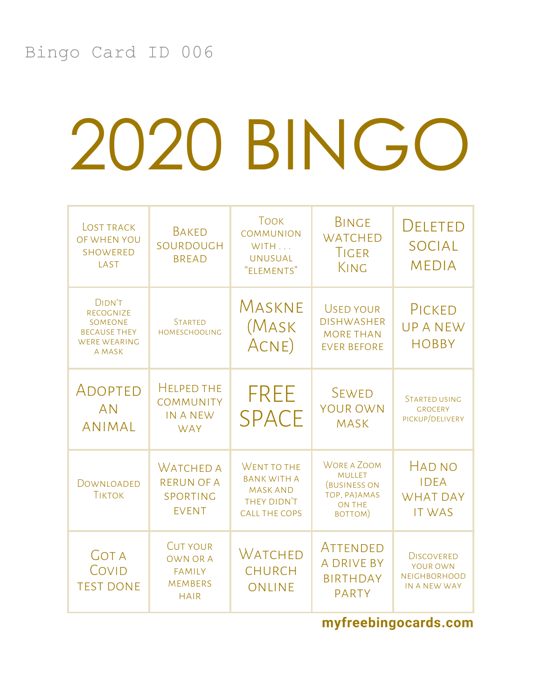| <b>LOST TRACK</b><br>OF WHEN YOU<br><b>SHOWERED</b><br>LAST                                   | <b>BAKED</b><br>SOURDOUGH<br><b>BREAD</b>                                            | <b>TOOK</b><br><b>COMMUNION</b><br>WITH<br><b>UNUSUAL</b><br>"ELEMENTS"                     | <b>BINGE</b><br><b>WATCHED</b><br>TIGER<br>KING                                                 | DELETED<br><b>SOCIAL</b><br><b>MEDIA</b>                             |
|-----------------------------------------------------------------------------------------------|--------------------------------------------------------------------------------------|---------------------------------------------------------------------------------------------|-------------------------------------------------------------------------------------------------|----------------------------------------------------------------------|
| <b>DIDN'T</b><br>RECOGNIZE<br>SOMEONE<br><b>BECAUSE THEY</b><br><b>WERE WEARING</b><br>A MASK | <b>STARTED</b><br><b>HOMESCHOOLING</b>                                               | MASKNE<br>(Mask<br>ACNE)                                                                    | <b>USED YOUR</b><br><b>DISHWASHER</b><br><b>MORE THAN</b><br><b>EVER BEFORE</b>                 | PICKED<br><b>UPANEW</b><br><b>HOBBY</b>                              |
| ADOPTED<br><b>AN</b><br><b>ANIMAL</b>                                                         | <b>HELPED THE</b><br><b>COMMUNITY</b><br><b>IN A NEW</b><br><b>WAY</b>               | <b>FREE</b><br><b>SPACE</b>                                                                 | <b>SEWED</b><br><b>YOUR OWN</b><br><b>MASK</b>                                                  | <b>STARTED USING</b><br><b>GROCERY</b><br>PICKUP/DELIVERY            |
| DOWNLOADED<br><b>TIKTOK</b>                                                                   | <b>WATCHED A</b><br><b>RERUN OF A</b><br>SPORTING<br><b>EVENT</b>                    | WENT TO THE<br><b>BANK WITH A</b><br><b>MASK AND</b><br>THEY DIDN'T<br><b>CALL THE COPS</b> | <b>WORE A ZOOM</b><br><b>MULLET</b><br>(BUSINESS ON<br>TOP, PAJAMAS<br><b>ON THE</b><br>BOTTOM) | HAD NO<br><b>IDEA</b><br><b>WHAT DAY</b><br><b>IT WAS</b>            |
| <b>GOT A</b><br>COVID<br><b>TEST DONE</b>                                                     | <b>CUT YOUR</b><br><b>OWN OR A</b><br><b>FAMILY</b><br><b>MEMBERS</b><br><b>HAIR</b> | <b>WATCHED</b><br><b>CHURCH</b><br>ONLINE                                                   | ATTENDED<br><b>A DRIVE BY</b><br><b>BIRTHDAY</b><br><b>PARTY</b>                                | <b>DISCOVERED</b><br>YOUR OWN<br><b>NEIGHBORHOOD</b><br>IN A NEW WAY |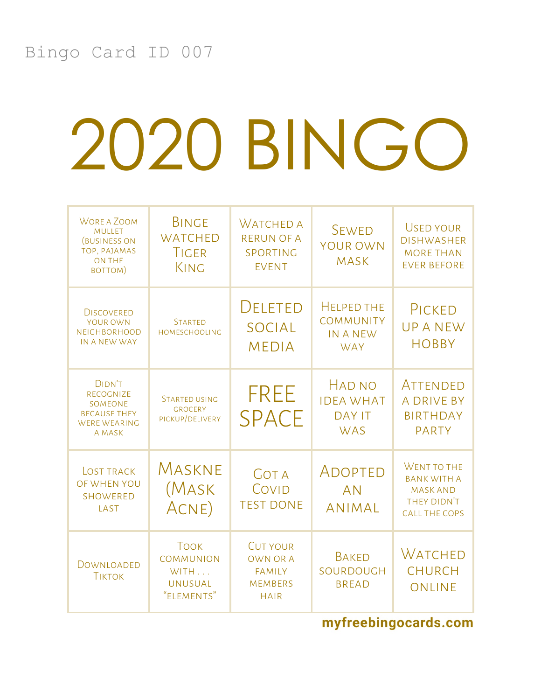| <b>WORE A ZOOM</b><br><b>MULLET</b><br><b>(BUSINESS ON</b><br>TOP, PAJAMAS<br><b>ON THE</b><br>BOTTOM) | <b>BINGE</b><br><b>WATCHED</b><br>TIGER<br>KING                         | WATCHED A<br><b>RERUN OF A</b><br>SPORTING<br><b>EVENT</b>                           | <b>SEWED</b><br>YOUR OWN<br><b>MASK</b>                                | <b>USED YOUR</b><br><b>DISHWASHER</b><br><b>MORE THAN</b><br><b>EVER BEFORE</b>             |
|--------------------------------------------------------------------------------------------------------|-------------------------------------------------------------------------|--------------------------------------------------------------------------------------|------------------------------------------------------------------------|---------------------------------------------------------------------------------------------|
| <b>DISCOVERED</b><br>YOUR OWN<br><b>NEIGHBORHOOD</b><br>IN A NEW WAY                                   | <b>STARTED</b><br><b>HOMESCHOOLING</b>                                  | <b>DELETED</b><br><b>SOCIAL</b><br><b>MEDIA</b>                                      | <b>HELPED THE</b><br><b>COMMUNITY</b><br><b>IN A NEW</b><br><b>WAY</b> | PICKED<br><b>UPANEW</b><br><b>HOBBY</b>                                                     |
| <b>DIDN'T</b><br>RECOGNIZE<br>SOMEONE<br><b>BECAUSE THEY</b><br><b>WERE WEARING</b><br>A MASK          | <b>STARTED USING</b><br><b>GROCERY</b><br>PICKUP/DELIVERY               | <b>FREE</b><br><b>SPACE</b>                                                          | <b>HAD NO</b><br><b>IDEA WHAT</b><br><b>DAY IT</b><br><b>WAS</b>       | ATTENDED<br><b>A DRIVE BY</b><br><b>BIRTHDAY</b><br><b>PARTY</b>                            |
| <b>LOST TRACK</b><br>OF WHEN YOU<br><b>SHOWERED</b><br>LAST                                            | MASKNE<br>(Mask<br>ACNE)                                                | <b>GOT A</b><br>COVID<br><b>TEST DONE</b>                                            | ADOPTED<br><b>AN</b><br><b>ANIMAL</b>                                  | WENT TO THE<br><b>BANK WITH A</b><br><b>MASK AND</b><br>THEY DIDN'T<br><b>CALL THE COPS</b> |
| DOWNLOADED<br><b>TIKTOK</b>                                                                            | <b>TOOK</b><br><b>COMMUNION</b><br>WITH<br><b>UNUSUAL</b><br>"ELEMENTS" | <b>CUT YOUR</b><br><b>OWN OR A</b><br><b>FAMILY</b><br><b>MEMBERS</b><br><b>HAIR</b> | <b>BAKED</b><br>SOURDOUGH<br><b>BREAD</b>                              | <b>WATCHED</b><br><b>CHURCH</b><br><b>ONLINE</b>                                            |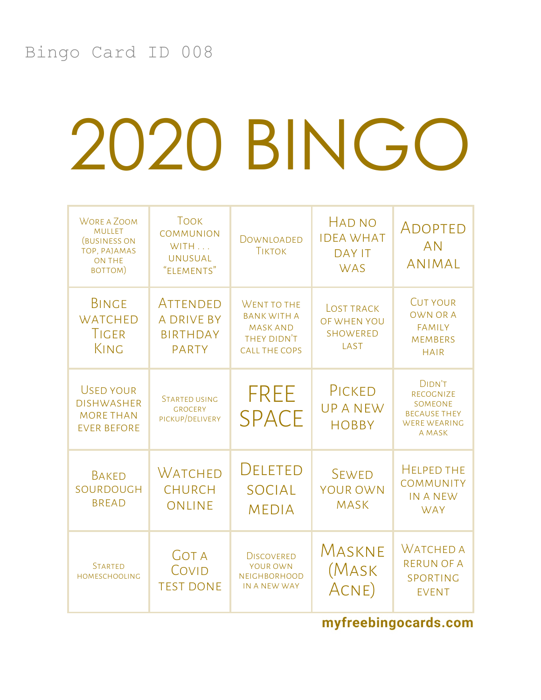| <b>WORE A ZOOM</b><br><b>MULLET</b><br><b>(BUSINESS ON</b><br>TOP, PAJAMAS<br><b>ON THE</b><br>BOTTOM) | <b>TOOK</b><br><b>COMMUNION</b><br>WITH<br><b>UNUSUAL</b><br>"ELEMENTS" | DOWNLOADED<br><b>TIKTOK</b>                                                                        | <b>HAD NO</b><br><b>IDEA WHAT</b><br><b>DAY IT</b><br><b>WAS</b> | ADOPTED<br><b>AN</b><br><b>ANIMAL</b>                                                                |
|--------------------------------------------------------------------------------------------------------|-------------------------------------------------------------------------|----------------------------------------------------------------------------------------------------|------------------------------------------------------------------|------------------------------------------------------------------------------------------------------|
| <b>BINGE</b><br><b>WATCHED</b><br><b>TIGER</b><br>KING                                                 | ATTENDED<br><b>A DRIVE BY</b><br><b>BIRTHDAY</b><br><b>PARTY</b>        | <b>WENT TO THE</b><br><b>BANK WITH A</b><br><b>MASK AND</b><br>THEY DIDN'T<br><b>CALL THE COPS</b> | <b>LOST TRACK</b><br>OF WHEN YOU<br><b>SHOWERED</b><br>LAST      | <b>CUT YOUR</b><br><b>OWN OR A</b><br><b>FAMILY</b><br><b>MEMBERS</b><br><b>HAIR</b>                 |
| <b>USED YOUR</b><br><b>DISHWASHER</b><br><b>MORE THAN</b><br><b>EVER BEFORE</b>                        | <b>STARTED USING</b><br><b>GROCERY</b><br>PICKUP/DELIVERY               | <b>FREE</b><br><b>SPACE</b>                                                                        | PICKED<br><b>UPANEW</b><br><b>HOBBY</b>                          | <b>DIDN'T</b><br><b>RECOGNIZE</b><br>SOMEONE<br><b>BECAUSE THEY</b><br><b>WERE WEARING</b><br>A MASK |
| <b>BAKED</b><br>SOURDOUGH<br><b>BREAD</b>                                                              | Watched<br><b>CHURCH</b><br>ONLINE                                      | DELETED<br><b>SOCIAL</b><br><b>MEDIA</b>                                                           | <b>SEWED</b><br><b>YOUR OWN</b><br><b>MASK</b>                   | <b>HELPED THE</b><br>COMMUNITY<br><b>IN A NEW</b><br><b>WAY</b>                                      |
| <b>STARTED</b><br><b>HOMESCHOOLING</b>                                                                 | <b>GOT A</b><br>COVID<br><b>TEST DONE</b>                               | <b>DISCOVERED</b><br>YOUR OWN<br><b>NEIGHBORHOOD</b><br>IN A NEW WAY                               | Maskne<br>(MASK<br>ACNE)                                         | <b>WATCHED A</b><br><b>RERUN OF A</b><br>SPORTING<br><b>EVENT</b>                                    |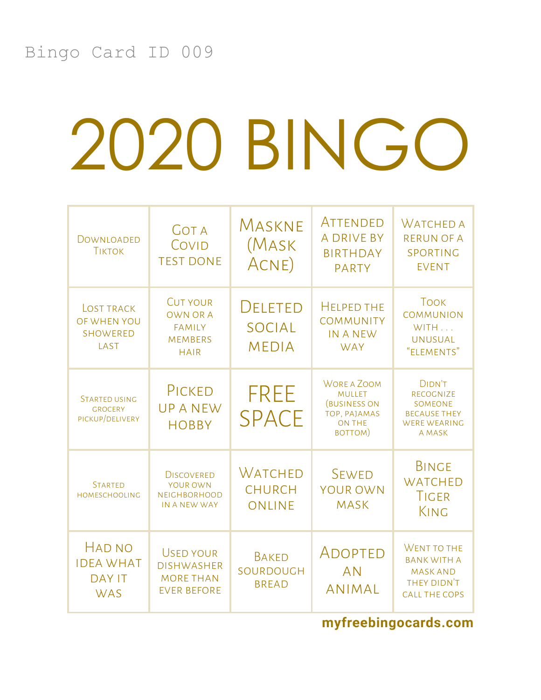| DOWNLOADED<br><b>TIKTOK</b>                                      | <b>GOT A</b><br>COVID<br><b>TEST DONE</b>                                            | MASKNE<br>(Mask<br>ACNE)                        | ATTENDED<br><b>A DRIVE BY</b><br><b>BIRTHDAY</b><br><b>PARTY</b>                                       | <b>WATCHED A</b><br><b>RERUN OF A</b><br>SPORTING<br><b>EVENT</b>                                    |
|------------------------------------------------------------------|--------------------------------------------------------------------------------------|-------------------------------------------------|--------------------------------------------------------------------------------------------------------|------------------------------------------------------------------------------------------------------|
| <b>LOST TRACK</b><br>OF WHEN YOU<br><b>SHOWERED</b><br>LAST      | <b>CUT YOUR</b><br><b>OWN OR A</b><br><b>FAMILY</b><br><b>MEMBERS</b><br><b>HAIR</b> | <b>DELETED</b><br><b>SOCIAL</b><br><b>MEDIA</b> | <b>HELPED THE</b><br><b>COMMUNITY</b><br><b>IN A NEW</b><br><b>WAY</b>                                 | <b>TOOK</b><br><b>COMMUNION</b><br>WITH<br><b>UNUSUAL</b><br>"ELEMENTS"                              |
| <b>STARTED USING</b><br><b>GROCERY</b><br>PICKUP/DELIVERY        | PICKED<br><b>UPANEW</b><br><b>HOBBY</b>                                              | <b>FREE</b><br><b>SPACE</b>                     | <b>WORE A ZOOM</b><br><b>MULLET</b><br><b>(BUSINESS ON</b><br>TOP, PAJAMAS<br><b>ON THE</b><br>BOTTOM) | <b>DIDN'T</b><br><b>RECOGNIZE</b><br>SOMEONE<br><b>BECAUSE THEY</b><br><b>WERE WEARING</b><br>A MASK |
| <b>STARTED</b><br><b>HOMESCHOOLING</b>                           | <b>DISCOVERED</b><br>YOUR OWN<br><b>NEIGHBORHOOD</b><br>IN A NEW WAY                 | WATCHED<br><b>CHURCH</b><br><b>ONLINE</b>       | <b>SEWED</b><br><b>YOUR OWN</b><br><b>MASK</b>                                                         | <b>BINGE</b><br><b>WATCHED</b><br><b>TIGER</b><br>KING                                               |
| <b>HAD NO</b><br><b>IDEA WHAT</b><br><b>DAY IT</b><br><b>WAS</b> | <b>USED YOUR</b><br><b>DISHWASHER</b><br><b>MORE THAN</b><br><b>EVER BEFORE</b>      | <b>BAKED</b><br>SOURDOUGH<br><b>BREAD</b>       | ADOPTED<br><b>AN</b><br><b>ANIMAL</b>                                                                  | <b>WENT TO THE</b><br><b>BANK WITH A</b><br><b>MASK AND</b><br>THEY DIDN'T<br><b>CALL THE COPS</b>   |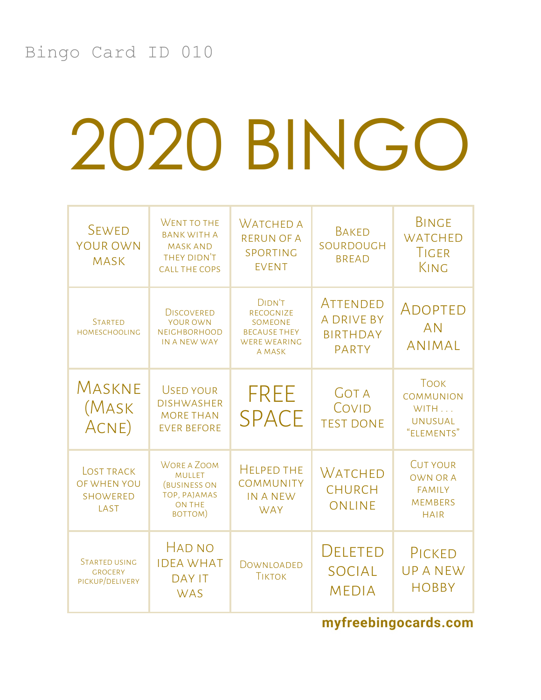| <b>SEWED</b><br>YOUR OWN<br><b>MASK</b>                     | WENT TO THE<br><b>BANK WITH A</b><br><b>MASK AND</b><br>THEY DIDN'T<br><b>CALL THE COPS</b>            | <b>WATCHED A</b><br><b>RERUN OF A</b><br>SPORTING<br><b>EVENT</b>                                           | <b>BAKED</b><br>SOURDOUGH<br><b>BREAD</b>                        | <b>BINGE</b><br><b>WATCHED</b><br><b>TIGER</b><br>KING                               |
|-------------------------------------------------------------|--------------------------------------------------------------------------------------------------------|-------------------------------------------------------------------------------------------------------------|------------------------------------------------------------------|--------------------------------------------------------------------------------------|
| <b>STARTED</b><br><b>HOMESCHOOLING</b>                      | <b>DISCOVERED</b><br><b>YOUR OWN</b><br><b>NEIGHBORHOOD</b><br>IN A NEW WAY                            | <b>DIDN'T</b><br><b>RECOGNIZE</b><br><b>SOMEONE</b><br><b>BECAUSE THEY</b><br><b>WERE WEARING</b><br>A MASK | ATTENDED<br><b>A DRIVE BY</b><br><b>BIRTHDAY</b><br><b>PARTY</b> | ADOPTED<br><b>AN</b><br><b>ANIMAL</b>                                                |
| MASKNE<br>(Mask<br>ACNE)                                    | <b>USED YOUR</b><br><b>DISHWASHER</b><br><b>MORE THAN</b><br><b>EVER BEFORE</b>                        | <b>FREE</b><br><b>SPACE</b>                                                                                 | <b>GOT A</b><br>COVID<br><b>TEST DONE</b>                        | <b>TOOK</b><br><b>COMMUNION</b><br>WITH<br><b>UNUSUAL</b><br>"ELEMENTS"              |
| <b>LOST TRACK</b><br>OF WHEN YOU<br><b>SHOWERED</b><br>LAST | <b>WORE A ZOOM</b><br><b>MULLET</b><br><b>(BUSINESS ON</b><br>TOP, PAJAMAS<br><b>ON THE</b><br>BOTTOM) | <b>HELPED THE</b><br><b>COMMUNITY</b><br>IN A NEW<br><b>WAY</b>                                             | WATCHED<br><b>CHURCH</b><br><b>ONLINE</b>                        | <b>CUT YOUR</b><br><b>OWN OR A</b><br><b>FAMILY</b><br><b>MEMBERS</b><br><b>HAIR</b> |
| <b>STARTED USING</b><br><b>GROCERY</b><br>PICKUP/DELIVERY   | HAD NO<br><b>IDEA WHAT</b><br><b>DAY IT</b><br><b>WAS</b>                                              | DOWNLOADED<br><b>TIKTOK</b>                                                                                 | DELETED<br><b>SOCIAL</b><br><b>MEDIA</b>                         | PICKED<br><b>UPANEW</b><br><b>HOBBY</b>                                              |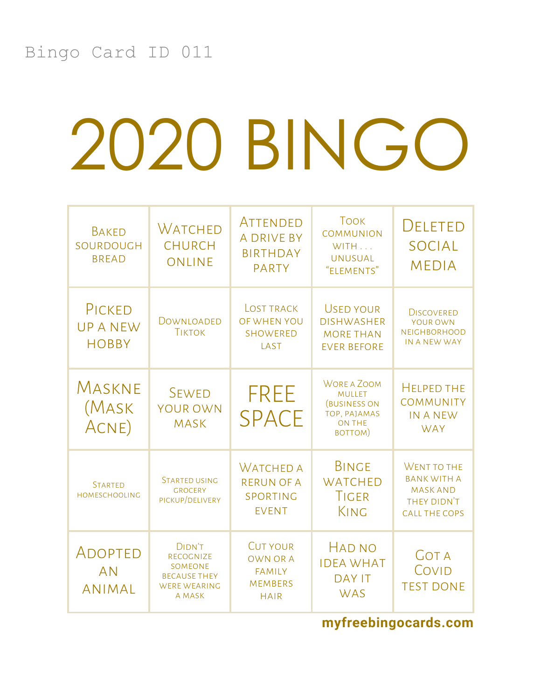| <b>BAKED</b><br>SOURDOUGH<br><b>BREAD</b> | Watched<br><b>CHURCH</b><br><b>ONLINE</b>                                                                   | ATTENDED<br><b>A DRIVE BY</b><br><b>BIRTHDAY</b><br><b>PARTY</b>                     | <b>TOOK</b><br><b>COMMUNION</b><br>WITH<br><b>UNUSUAL</b><br>"ELEMENTS"                                | <b>DELETED</b><br><b>SOCIAL</b><br><b>MEDIA</b>                                             |
|-------------------------------------------|-------------------------------------------------------------------------------------------------------------|--------------------------------------------------------------------------------------|--------------------------------------------------------------------------------------------------------|---------------------------------------------------------------------------------------------|
| PICKED<br><b>UPANEW</b><br><b>HOBBY</b>   | DOWNLOADED<br><b>TIKTOK</b>                                                                                 | <b>LOST TRACK</b><br>OF WHEN YOU<br><b>SHOWERED</b><br>LAST                          | <b>USED YOUR</b><br><b>DISHWASHER</b><br><b>MORE THAN</b><br><b>EVER BEFORE</b>                        | <b>DISCOVERED</b><br>YOUR OWN<br><b>NEIGHBORHOOD</b><br>IN A NEW WAY                        |
| Maskne<br>(Mask<br>ACNE)                  | <b>SEWED</b><br><b>YOUR OWN</b><br><b>MASK</b>                                                              | <b>FREE</b><br><b>SPACE</b>                                                          | <b>WORE A ZOOM</b><br><b>MULLET</b><br><b>(BUSINESS ON</b><br>TOP, PAJAMAS<br><b>ON THE</b><br>BOTTOM) | <b>HELPED THE</b><br>COMMUNITY<br><b>IN A NEW</b><br><b>WAY</b>                             |
| <b>STARTED</b><br><b>HOMESCHOOLING</b>    | <b>STARTED USING</b><br><b>GROCERY</b><br>PICKUP/DELIVERY                                                   | <b>WATCHED A</b><br><b>RERUN OF A</b><br>SPORTING<br><b>EVENT</b>                    | <b>BINGE</b><br><b>WATCHED</b><br>TIGER<br>KING                                                        | WENT TO THE<br><b>BANK WITH A</b><br><b>MASK AND</b><br>THEY DIDN'T<br><b>CALL THE COPS</b> |
| ADOPTED<br><b>AN</b><br><b>ANIMAL</b>     | <b>DIDN'T</b><br><b>RECOGNIZE</b><br><b>SOMEONE</b><br><b>BECAUSE THEY</b><br><b>WERE WEARING</b><br>A MASK | <b>CUT YOUR</b><br><b>OWN OR A</b><br><b>FAMILY</b><br><b>MEMBERS</b><br><b>HAIR</b> | <b>HAD NO</b><br><b>IDEA WHAT</b><br><b>DAY IT</b><br><b>WAS</b>                                       | <b>GOT A</b><br>COVID<br><b>TEST DONE</b>                                                   |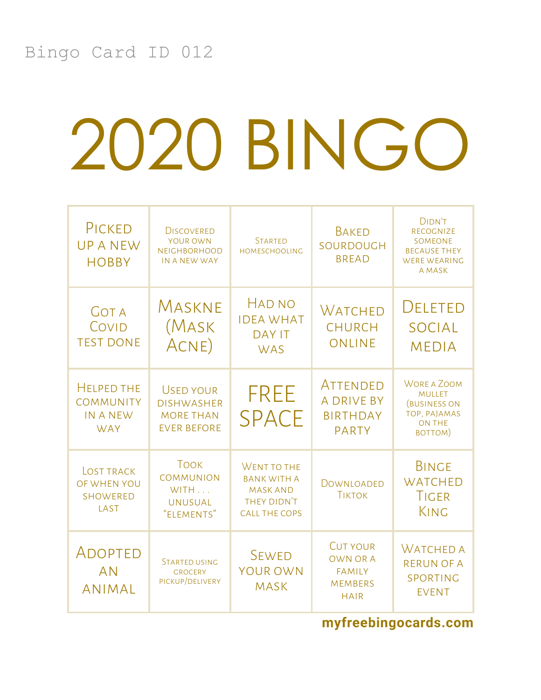| PICKED<br><b>UPANEW</b><br><b>HOBBY</b>                                | <b>DISCOVERED</b><br>YOUR OWN<br><b>NEIGHBORHOOD</b><br>IN A NEW WAY            | <b>STARTED</b><br><b>HOMESCHOOLING</b>                                                      | <b>BAKED</b><br>SOURDOUGH<br><b>BREAD</b>                                            | DIDN'T<br><b>RECOGNIZE</b><br><b>SOMEONE</b><br><b>BECAUSE THEY</b><br><b>WERE WEARING</b><br>A MASK   |
|------------------------------------------------------------------------|---------------------------------------------------------------------------------|---------------------------------------------------------------------------------------------|--------------------------------------------------------------------------------------|--------------------------------------------------------------------------------------------------------|
| <b>GOT A</b><br>COVID<br><b>TEST DONE</b>                              | MASKNE<br>(Mask<br>ACNE)                                                        | <b>HAD NO</b><br><b>IDEA WHAT</b><br><b>DAY IT</b><br><b>WAS</b>                            | <b>WATCHED</b><br><b>CHURCH</b><br>ONLINE                                            | <b>DELETED</b><br><b>SOCIAL</b><br><b>MEDIA</b>                                                        |
| <b>HELPED THE</b><br><b>COMMUNITY</b><br><b>IN A NEW</b><br><b>WAY</b> | <b>USED YOUR</b><br><b>DISHWASHER</b><br><b>MORE THAN</b><br><b>EVER BEFORE</b> | <b>FREE</b><br><b>SPACE</b>                                                                 | ATTENDED<br><b>A DRIVE BY</b><br><b>BIRTHDAY</b><br><b>PARTY</b>                     | <b>WORE A ZOOM</b><br><b>MULLET</b><br><b>(BUSINESS ON</b><br>TOP, PAJAMAS<br><b>ON THE</b><br>BOTTOM) |
| <b>LOST TRACK</b><br>OF WHEN YOU<br><b>SHOWERED</b><br>LAST            | <b>TOOK</b><br><b>COMMUNION</b><br>WITH<br><b>UNUSUAL</b><br>"ELEMENTS"         | WENT TO THE<br><b>BANK WITH A</b><br><b>MASK AND</b><br>THEY DIDN'T<br><b>CALL THE COPS</b> | DOWNLOADED<br><b>TIKTOK</b>                                                          | <b>BINGE</b><br><b>WATCHED</b><br><b>TIGER</b><br>KING                                                 |
| ADOPTED<br><b>AN</b><br><b>ANIMAL</b>                                  | <b>STARTED USING</b><br><b>GROCERY</b><br>PICKUP/DELIVERY                       | <b>SEWED</b><br><b>YOUR OWN</b><br><b>MASK</b>                                              | <b>CUT YOUR</b><br><b>OWN OR A</b><br><b>FAMILY</b><br><b>MEMBERS</b><br><b>HAIR</b> | <b>WATCHED A</b><br><b>RERUN OF A</b><br>SPORTING<br><b>EVENT</b>                                      |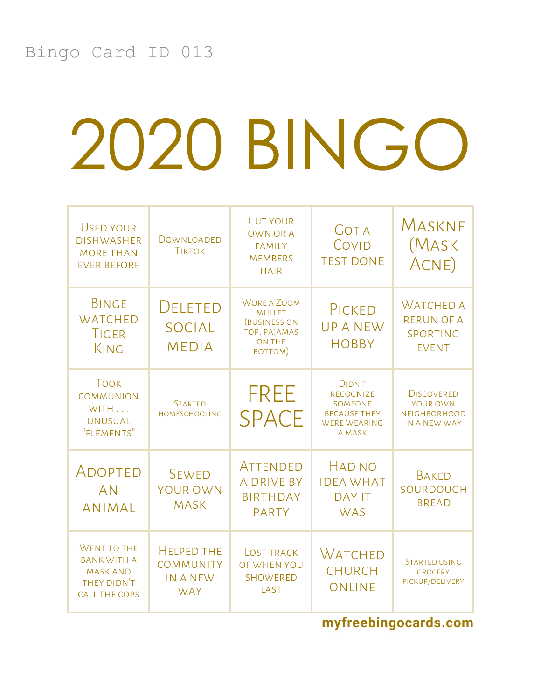| USED YOUR<br><b>DISHWASHER</b><br><b>MORE THAN</b><br><b>EVER BEFORE</b>                    | DOWNLOADED<br><b>TIKTOK</b>                                            | <b>CUT YOUR</b><br><b>OWN OR A</b><br><b>FAMILY</b><br><b>MEMBERS</b><br><b>HAIR</b>                   | <b>GOT A</b><br>COVID<br><b>TEST DONE</b>                                                     | MASKNE<br>(Mask<br>ACNE)                                             |
|---------------------------------------------------------------------------------------------|------------------------------------------------------------------------|--------------------------------------------------------------------------------------------------------|-----------------------------------------------------------------------------------------------|----------------------------------------------------------------------|
| <b>BINGE</b><br><b>WATCHED</b><br>TIGER<br>KING                                             | <b>DELETED</b><br><b>SOCIAL</b><br><b>MEDIA</b>                        | <b>WORE A ZOOM</b><br><b>MULLET</b><br><b>(BUSINESS ON</b><br>TOP, PAJAMAS<br><b>ON THE</b><br>BOTTOM) | PICKED<br><b>UPANEW</b><br><b>HOBBY</b>                                                       | <b>WATCHED A</b><br><b>RERUN OF A</b><br>SPORTING<br><b>EVENT</b>    |
| <b>TOOK</b><br><b>COMMUNION</b><br>WITH<br><b>UNUSUAL</b><br>"ELEMENTS"                     | <b>STARTED</b><br><b>HOMESCHOOLING</b>                                 | <b>FREE</b><br><b>SPACE</b>                                                                            | <b>DIDN'T</b><br>RECOGNIZE<br>SOMEONE<br><b>BECAUSE THEY</b><br><b>WERE WEARING</b><br>A MASK | <b>DISCOVERED</b><br>YOUR OWN<br><b>NEIGHBORHOOD</b><br>IN A NEW WAY |
| ADOPTED<br><b>AN</b><br><b>ANIMAL</b>                                                       | <b>SEWED</b><br>YOUR OWN<br><b>MASK</b>                                | ATTENDED<br><b>A DRIVE BY</b><br><b>BIRTHDAY</b><br><b>PARTY</b>                                       | <b>HAD NO</b><br><b>IDEA WHAT</b><br><b>DAY IT</b><br><b>WAS</b>                              | <b>BAKED</b><br>SOURDOUGH<br><b>BREAD</b>                            |
| WENT TO THE<br><b>BANK WITH A</b><br><b>MASK AND</b><br>THEY DIDN'T<br><b>CALL THE COPS</b> | <b>HELPED THE</b><br><b>COMMUNITY</b><br><b>IN A NEW</b><br><b>WAY</b> | <b>LOST TRACK</b><br>OF WHEN YOU<br><b>SHOWERED</b><br>LAST                                            | <b>WATCHED</b><br><b>CHURCH</b><br><b>ONLINE</b>                                              | <b>STARTED USING</b><br><b>GROCERY</b><br>PICKUP/DELIVERY            |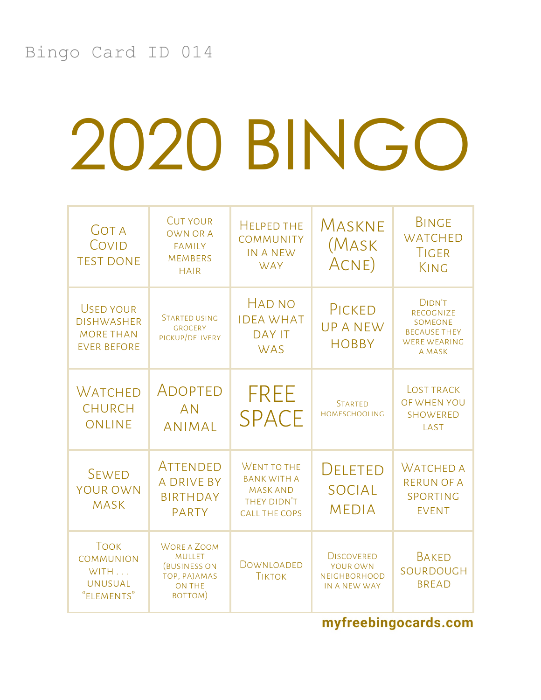| <b>GOT A</b><br>COVID<br><b>TEST DONE</b>                                       | <b>CUT YOUR</b><br><b>OWN OR A</b><br><b>FAMILY</b><br><b>MEMBERS</b><br><b>HAIR</b>                   | <b>HELPED THE</b><br><b>COMMUNITY</b><br>IN A NEW<br><b>WAY</b>                             | MASKNE<br>(Mask<br>ACNE)                                             | <b>BINGE</b><br><b>WATCHED</b><br>TIGER<br>KING                                               |
|---------------------------------------------------------------------------------|--------------------------------------------------------------------------------------------------------|---------------------------------------------------------------------------------------------|----------------------------------------------------------------------|-----------------------------------------------------------------------------------------------|
| <b>USED YOUR</b><br><b>DISHWASHER</b><br><b>MORE THAN</b><br><b>EVER BEFORE</b> | <b>STARTED USING</b><br><b>GROCERY</b><br>PICKUP/DELIVERY                                              | <b>HAD NO</b><br><b>IDEA WHAT</b><br><b>DAY IT</b><br><b>WAS</b>                            | PICKED<br><b>UPANEW</b><br><b>HOBBY</b>                              | DIDN'T<br><b>RECOGNIZE</b><br>SOMEONE<br><b>BECAUSE THEY</b><br><b>WERE WEARING</b><br>A MASK |
| WATCHED<br><b>CHURCH</b><br><b>ONLINE</b>                                       | ADOPTED<br><b>AN</b><br><b>ANIMAL</b>                                                                  | <b>FREE</b><br><b>SPACE</b>                                                                 | <b>STARTED</b><br><b>HOMESCHOOLING</b>                               | LOST TRACK<br>OF WHEN YOU<br><b>SHOWERED</b><br>LAST                                          |
| <b>SEWED</b><br><b>YOUR OWN</b><br><b>MASK</b>                                  | ATTENDED<br><b>A DRIVE BY</b><br><b>BIRTHDAY</b><br><b>PARTY</b>                                       | WENT TO THE<br><b>BANK WITH A</b><br><b>MASK AND</b><br>THEY DIDN'T<br><b>CALL THE COPS</b> | DELETED<br><b>SOCIAL</b><br><b>MEDIA</b>                             | <b>WATCHED A</b><br><b>RERUN OF A</b><br>SPORTING<br><b>EVENT</b>                             |
| <b>TOOK</b><br><b>COMMUNION</b><br>WITH<br><b>UNUSUAL</b><br>"ELEMENTS"         | <b>WORE A ZOOM</b><br><b>MULLET</b><br><b>(BUSINESS ON</b><br>TOP, PAJAMAS<br><b>ON THE</b><br>BOTTOM) | DOWNLOADED<br><b>TIKTOK</b>                                                                 | <b>DISCOVERED</b><br>YOUR OWN<br><b>NEIGHBORHOOD</b><br>IN A NEW WAY | <b>BAKED</b><br>SOURDOUGH<br><b>BREAD</b>                                                     |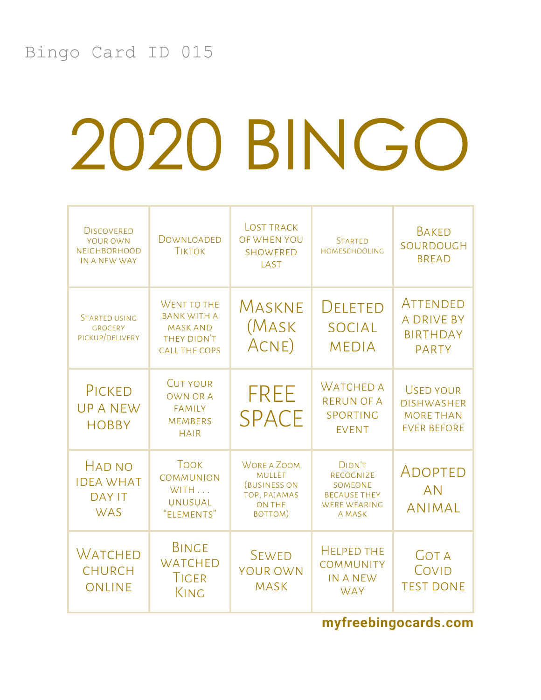| <b>DISCOVERED</b><br>YOUR OWN<br><b>NEIGHBORHOOD</b><br>IN A NEW WAY | DOWNLOADED<br><b>TIKTOK</b>                                                                        | <b>LOST TRACK</b><br>OF WHEN YOU<br><b>SHOWERED</b><br>LAST                                            | <b>STARTED</b><br><b>HOMESCHOOLING</b>                                                               | <b>BAKED</b><br>SOURDOUGH<br><b>BREAD</b>                                       |
|----------------------------------------------------------------------|----------------------------------------------------------------------------------------------------|--------------------------------------------------------------------------------------------------------|------------------------------------------------------------------------------------------------------|---------------------------------------------------------------------------------|
| STARTED USING<br><b>GROCERY</b><br>PICKUP/DELIVERY                   | <b>WENT TO THE</b><br><b>BANK WITH A</b><br><b>MASK AND</b><br>THEY DIDN'T<br><b>CALL THE COPS</b> | MASKNE<br>(Mask<br>ACNE)                                                                               | DELETED<br><b>SOCIAL</b><br><b>MEDIA</b>                                                             | <b>ATTENDED</b><br><b>A DRIVE BY</b><br><b>BIRTHDAY</b><br><b>PARTY</b>         |
| PICKED<br><b>UPANEW</b><br><b>HOBBY</b>                              | <b>CUT YOUR</b><br><b>OWN OR A</b><br><b>FAMILY</b><br><b>MEMBERS</b><br><b>HAIR</b>               | <b>FREE</b><br><b>SPACE</b>                                                                            | <b>WATCHED A</b><br><b>RERUN OF A</b><br>SPORTING<br><b>EVENT</b>                                    | <b>USED YOUR</b><br><b>DISHWASHER</b><br><b>MORE THAN</b><br><b>EVER BEFORE</b> |
| <b>HAD NO</b><br><b>IDEA WHAT</b><br><b>DAY IT</b><br><b>WAS</b>     | <b>TOOK</b><br><b>COMMUNION</b><br>WITH<br><b>UNUSUAL</b><br>"ELEMENTS"                            | <b>WORE A ZOOM</b><br><b>MULLET</b><br><b>(BUSINESS ON</b><br>TOP, PAJAMAS<br><b>ON THE</b><br>BOTTOM) | <b>DIDN'T</b><br><b>RECOGNIZE</b><br>SOMEONE<br><b>BECAUSE THEY</b><br><b>WERE WEARING</b><br>A MASK | ADOPTED<br><b>AN</b><br><b>ANIMAL</b>                                           |
| WATCHED<br><b>CHURCH</b><br>ONLINE                                   | <b>BINGE</b><br><b>WATCHED</b><br>TIGER<br>KING                                                    | <b>SEWED</b><br><b>YOUR OWN</b><br><b>MASK</b>                                                         | <b>HELPED THE</b><br><b>COMMUNITY</b><br><b>IN A NEW</b><br><b>WAY</b>                               | <b>GOT A</b><br>COVID<br><b>TEST DONE</b>                                       |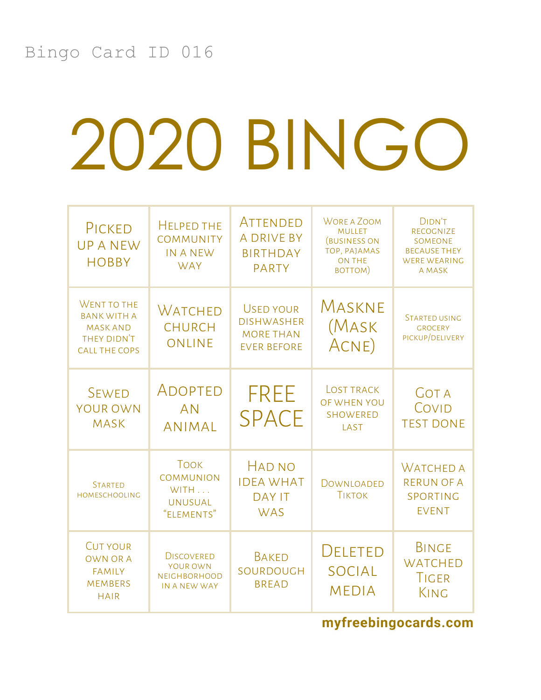| PICKED<br><b>UPANEW</b><br><b>HOBBY</b>                                                            | <b>HELPED THE</b><br><b>COMMUNITY</b><br><b>IN A NEW</b><br><b>WAY</b>  | ATTENDED<br><b>A DRIVE BY</b><br><b>BIRTHDAY</b><br><b>PARTY</b>                | <b>WORE A ZOOM</b><br><b>MULLET</b><br>(BUSINESS ON<br>TOP, PAJAMAS<br><b>ON THE</b><br>BOTTOM) | DIDN'T<br><b>RECOGNIZE</b><br><b>SOMEONE</b><br><b>BECAUSE THEY</b><br><b>WERE WEARING</b><br>A MASK |
|----------------------------------------------------------------------------------------------------|-------------------------------------------------------------------------|---------------------------------------------------------------------------------|-------------------------------------------------------------------------------------------------|------------------------------------------------------------------------------------------------------|
| <b>WENT TO THE</b><br><b>BANK WITH A</b><br><b>MASK AND</b><br>THEY DIDN'T<br><b>CALL THE COPS</b> | Watched<br><b>CHURCH</b><br>ONLINE                                      | <b>USED YOUR</b><br><b>DISHWASHER</b><br><b>MORE THAN</b><br><b>EVER BEFORE</b> | MASKNE<br>(Mask<br>ACNE)                                                                        | <b>STARTED USING</b><br><b>GROCERY</b><br>PICKUP/DELIVERY                                            |
| <b>SEWED</b><br><b>YOUR OWN</b><br><b>MASK</b>                                                     | ADOPTED<br><b>AN</b><br><b>ANIMAL</b>                                   | <b>FREE</b><br><b>SPACE</b>                                                     | <b>LOST TRACK</b><br>OF WHEN YOU<br><b>SHOWERED</b><br><b>LAST</b>                              | <b>GOT A</b><br>COVID<br><b>TEST DONE</b>                                                            |
| <b>STARTED</b><br><b>HOMESCHOOLING</b>                                                             | <b>TOOK</b><br><b>COMMUNION</b><br>WITH<br><b>UNUSUAL</b><br>"ELEMENTS" | <b>HAD NO</b><br><b>IDEA WHAT</b><br><b>DAY IT</b><br><b>WAS</b>                | DOWNLOADED<br><b>TIKTOK</b>                                                                     | <b>WATCHED A</b><br><b>RERUN OF A</b><br>SPORTING<br><b>EVENT</b>                                    |
| <b>CUT YOUR</b><br><b>OWN OR A</b><br><b>FAMILY</b><br><b>MEMBERS</b><br><b>HAIR</b>               | <b>DISCOVERED</b><br>YOUR OWN<br><b>NEIGHBORHOOD</b><br>IN A NEW WAY    | <b>BAKED</b><br>SOURDOUGH<br><b>BREAD</b>                                       | DELETED<br><b>SOCIAL</b><br><b>MEDIA</b>                                                        | <b>BINGE</b><br><b>WATCHED</b><br>TIGER<br>KING                                                      |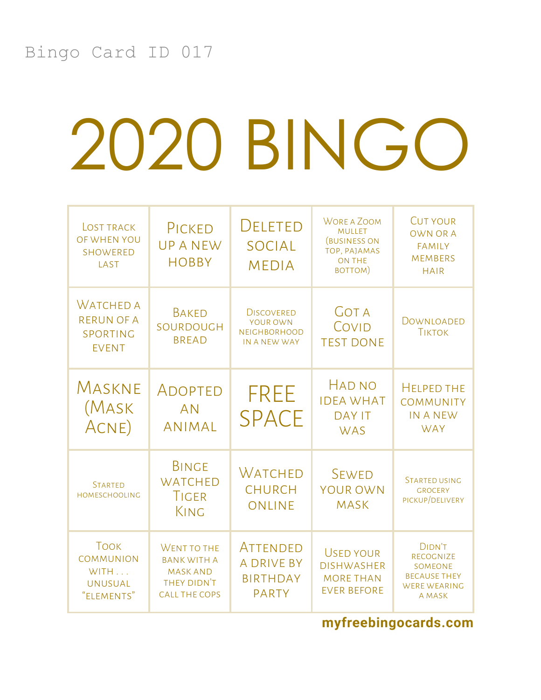| <b>LOST TRACK</b><br>OF WHEN YOU<br><b>SHOWERED</b><br>LAST             | PICKED<br><b>UPANEW</b><br><b>HOBBY</b>                                                            | DELETED<br><b>SOCIAL</b><br><b>MEDIA</b>                             | <b>WORE A ZOOM</b><br><b>MULLET</b><br>(BUSINESS ON<br>TOP, PAJAMAS<br>ON THE<br>BOTTOM) | <b>CUT YOUR</b><br><b>OWN OR A</b><br><b>FAMILY</b><br><b>MEMBERS</b><br><b>HAIR</b>                 |
|-------------------------------------------------------------------------|----------------------------------------------------------------------------------------------------|----------------------------------------------------------------------|------------------------------------------------------------------------------------------|------------------------------------------------------------------------------------------------------|
| <b>WATCHED A</b><br><b>RERUN OF A</b><br>SPORTING<br><b>EVENT</b>       | <b>BAKED</b><br>SOURDOUGH<br><b>BREAD</b>                                                          | <b>DISCOVERED</b><br>YOUR OWN<br><b>NEIGHBORHOOD</b><br>IN A NEW WAY | <b>GOT A</b><br>COVID<br><b>TEST DONE</b>                                                | DOWNLOADED<br><b>TIKTOK</b>                                                                          |
| MASKNE<br>(Mask<br>ACNE)                                                | ADOPTED<br><b>AN</b><br><b>ANIMAL</b>                                                              | <b>FREE</b><br><b>SPACE</b>                                          | <b>HAD NO</b><br><b>IDEA WHAT</b><br><b>DAY IT</b><br><b>WAS</b>                         | <b>HELPED THE</b><br><b>COMMUNITY</b><br><b>IN A NEW</b><br><b>WAY</b>                               |
| <b>STARTED</b><br><b>HOMESCHOOLING</b>                                  | <b>BINGE</b><br><b>WATCHED</b><br>TIGER<br>KING                                                    | Watched<br><b>CHURCH</b><br>ONLINE                                   | <b>SEWED</b><br><b>YOUR OWN</b><br><b>MASK</b>                                           | <b>STARTED USING</b><br><b>GROCERY</b><br>PICKUP/DELIVERY                                            |
| <b>TOOK</b><br><b>COMMUNION</b><br>WITH<br><b>UNUSUAL</b><br>"ELEMENTS" | <b>WENT TO THE</b><br><b>BANK WITH A</b><br><b>MASK AND</b><br>THEY DIDN'T<br><b>CALL THE COPS</b> | ATTENDED<br><b>A DRIVE BY</b><br><b>BIRTHDAY</b><br><b>PARTY</b>     | <b>USED YOUR</b><br><b>DISHWASHER</b><br><b>MORE THAN</b><br><b>EVER BEFORE</b>          | <b>DIDN'T</b><br><b>RECOGNIZE</b><br>SOMEONE<br><b>BECAUSE THEY</b><br><b>WERE WEARING</b><br>A MASK |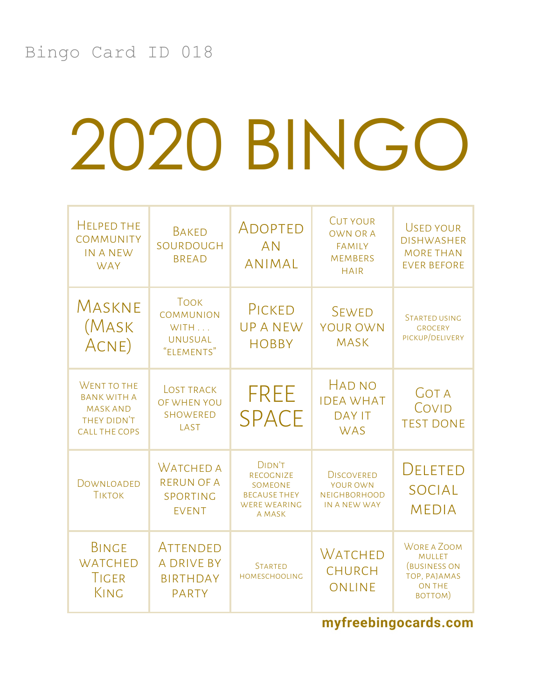| <b>HELPED THE</b><br><b>COMMUNITY</b><br><b>IN A NEW</b><br><b>WAY</b>                      | <b>BAKED</b><br>SOURDOUGH<br><b>BREAD</b>                               | ADOPTED<br><b>AN</b><br><b>ANIMAL</b>                                                  | <b>CUT YOUR</b><br><b>OWN OR A</b><br><b>FAMILY</b><br><b>MEMBERS</b><br><b>HAIR</b> | <b>USED YOUR</b><br><b>DISHWASHER</b><br><b>MORE THAN</b><br><b>EVER BEFORE</b>                        |
|---------------------------------------------------------------------------------------------|-------------------------------------------------------------------------|----------------------------------------------------------------------------------------|--------------------------------------------------------------------------------------|--------------------------------------------------------------------------------------------------------|
| MASKNE<br>(Mask<br>ACNE)                                                                    | <b>TOOK</b><br><b>COMMUNION</b><br>WITH<br><b>UNUSUAL</b><br>"ELEMENTS" | PICKED<br><b>UPANEW</b><br><b>HOBBY</b>                                                | <b>SEWED</b><br><b>YOUR OWN</b><br><b>MASK</b>                                       | <b>STARTED USING</b><br><b>GROCERY</b><br>PICKUP/DELIVERY                                              |
| WENT TO THE<br><b>BANK WITH A</b><br><b>MASK AND</b><br>THEY DIDN'T<br><b>CALL THE COPS</b> | <b>LOST TRACK</b><br>OF WHEN YOU<br><b>SHOWERED</b><br>LAST             | <b>FREE</b><br><b>SPACE</b>                                                            | <b>HAD NO</b><br><b>IDEA WHAT</b><br><b>DAY IT</b><br><b>WAS</b>                     | <b>GOT A</b><br>COVID<br><b>TEST DONE</b>                                                              |
| DOWNLOADED<br><b>TIKTOK</b>                                                                 | <b>WATCHED A</b><br><b>RERUN OF A</b><br>SPORTING<br><b>EVENT</b>       | <b>DIDN'T</b><br>RECOGNIZE<br>SOMEONE<br><b>BECAUSE THEY</b><br>WERE WEARING<br>A MASK | <b>DISCOVERED</b><br>YOUR OWN<br><b>NEIGHBORHOOD</b><br>IN A NEW WAY                 | <b>DELETED</b><br><b>SOCIAL</b><br><b>MEDIA</b>                                                        |
| <b>BINGE</b><br><b>WATCHED</b><br>TIGER<br>KING                                             | ATTENDED<br><b>A DRIVE BY</b><br><b>BIRTHDAY</b><br><b>PARTY</b>        | <b>STARTED</b><br><b>HOMESCHOOLING</b>                                                 | <b>WATCHED</b><br><b>CHURCH</b><br><b>ONLINE</b>                                     | <b>WORE A ZOOM</b><br><b>MULLET</b><br><b>(BUSINESS ON</b><br>TOP, PAJAMAS<br><b>ON THE</b><br>BOTTOM) |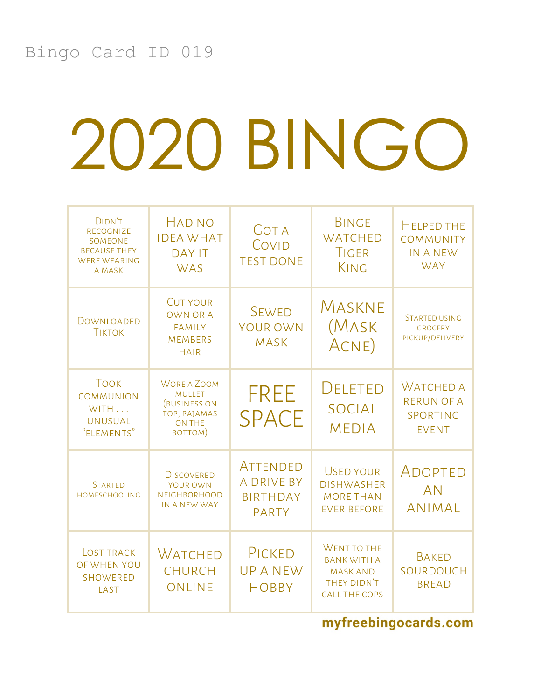| <b>DIDN'T</b><br><b>RECOGNIZE</b><br><b>SOMEONE</b><br><b>BECAUSE THEY</b><br><b>WERE WEARING</b><br>A MASK | <b>HAD NO</b><br><b>IDEA WHAT</b><br><b>DAY IT</b><br><b>WAS</b>                                       | <b>GOT A</b><br>COVID<br><b>TEST DONE</b>                        | <b>BINGE</b><br><b>WATCHED</b><br>TIGER<br>KING                                                    | <b>HELPED THE</b><br><b>COMMUNITY</b><br>IN A NEW<br><b>WAY</b>   |
|-------------------------------------------------------------------------------------------------------------|--------------------------------------------------------------------------------------------------------|------------------------------------------------------------------|----------------------------------------------------------------------------------------------------|-------------------------------------------------------------------|
| DOWNLOADED<br><b>TIKTOK</b>                                                                                 | <b>CUT YOUR</b><br><b>OWN OR A</b><br><b>FAMILY</b><br><b>MEMBERS</b><br><b>HAIR</b>                   | <b>SEWED</b><br><b>YOUR OWN</b><br><b>MASK</b>                   | MASKNE<br>(Mask<br>ACNE)                                                                           | <b>STARTED USING</b><br><b>GROCERY</b><br>PICKUP/DELIVERY         |
| <b>TOOK</b><br><b>COMMUNION</b><br>WITH<br><b>UNUSUAL</b><br>"ELEMENTS"                                     | <b>WORE A ZOOM</b><br><b>MULLET</b><br><b>(BUSINESS ON</b><br>TOP, PAJAMAS<br><b>ON THE</b><br>BOTTOM) | <b>FREE</b><br><b>SPACE</b>                                      | <b>DELETED</b><br><b>SOCIAL</b><br><b>MEDIA</b>                                                    | <b>WATCHED A</b><br><b>RERUN OF A</b><br>SPORTING<br><b>EVENT</b> |
| <b>STARTED</b><br><b>HOMESCHOOLING</b>                                                                      | <b>DISCOVERED</b><br><b>YOUR OWN</b><br><b>NEIGHBORHOOD</b><br>IN A NEW WAY                            | ATTENDED<br><b>A DRIVE BY</b><br><b>BIRTHDAY</b><br><b>PARTY</b> | <b>USED YOUR</b><br><b>DISHWASHER</b><br><b>MORE THAN</b><br><b>EVER BEFORE</b>                    | ADOPTED<br><b>AN</b><br><b>ANIMAL</b>                             |
| LOST TRACK<br>OF WHEN YOU<br><b>SHOWERED</b><br>LAST                                                        | <b>WATCHED</b><br><b>CHURCH</b><br>ONLINE                                                              | PICKED<br><b>UPANEW</b><br><b>HOBBY</b>                          | <b>WENT TO THE</b><br><b>BANK WITH A</b><br><b>MASK AND</b><br>THEY DIDN'T<br><b>CALL THE COPS</b> | <b>BAKED</b><br>SOURDOUGH<br><b>BREAD</b>                         |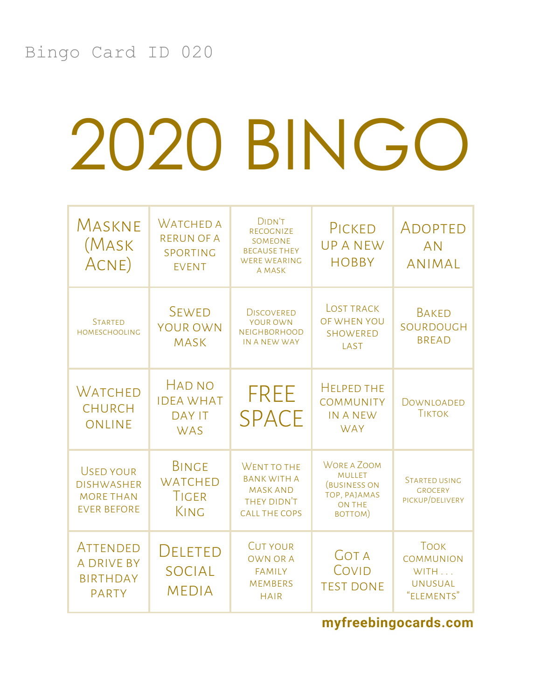| MASKNE<br>(Mask<br>ACNE)                                                        | <b>WATCHED A</b><br><b>RERUN OF A</b><br>SPORTING<br><b>EVENT</b> | <b>DIDN'T</b><br>RECOGNIZE<br>SOMEONE<br><b>BECAUSE THEY</b><br><b>WERE WEARING</b><br>A MASK | PICKED<br><b>UPANEW</b><br><b>HOBBY</b>                                                         | ADOPTED<br><b>AN</b><br><b>ANIMAL</b>                                   |
|---------------------------------------------------------------------------------|-------------------------------------------------------------------|-----------------------------------------------------------------------------------------------|-------------------------------------------------------------------------------------------------|-------------------------------------------------------------------------|
| <b>STARTED</b><br><b>HOMESCHOOLING</b>                                          | <b>SEWED</b><br><b>YOUR OWN</b><br><b>MASK</b>                    | <b>DISCOVERED</b><br>YOUR OWN<br><b>NEIGHBORHOOD</b><br>IN A NEW WAY                          | <b>LOST TRACK</b><br>OF WHEN YOU<br><b>SHOWERED</b><br>LAST                                     | <b>BAKED</b><br>SOURDOUGH<br><b>BREAD</b>                               |
| WATCHED<br><b>CHURCH</b><br>ONLINE                                              | <b>HAD NO</b><br><b>IDEA WHAT</b><br><b>DAY IT</b><br><b>WAS</b>  | <b>FREE</b><br><b>SPACE</b>                                                                   | <b>HELPED THE</b><br><b>COMMUNITY</b><br><b>IN A NEW</b><br><b>WAY</b>                          | DOWNLOADED<br><b>TIKTOK</b>                                             |
| <b>USED YOUR</b><br><b>DISHWASHER</b><br><b>MORE THAN</b><br><b>EVER BEFORE</b> | <b>BINGE</b><br><b>WATCHED</b><br>TIGER<br>KING                   | WENT TO THE<br><b>BANK WITH A</b><br><b>MASK AND</b><br>THEY DIDN'T<br><b>CALL THE COPS</b>   | <b>WORE A ZOOM</b><br><b>MULLET</b><br><b>(BUSINESS ON</b><br>TOP, PAJAMAS<br>ON THE<br>BOTTOM) | <b>STARTED USING</b><br><b>GROCERY</b><br>PICKUP/DELIVERY               |
| ATTENDED<br><b>A DRIVE BY</b><br><b>BIRTHDAY</b><br><b>PARTY</b>                | <b>DELETED</b><br><b>SOCIAL</b><br><b>MEDIA</b>                   | <b>CUT YOUR</b><br><b>OWN OR A</b><br><b>FAMILY</b><br><b>MEMBERS</b><br><b>HAIR</b>          | <b>GOT A</b><br>COVID<br><b>TEST DONE</b>                                                       | <b>TOOK</b><br><b>COMMUNION</b><br>WITH<br><b>UNUSUAL</b><br>"ELEMENTS" |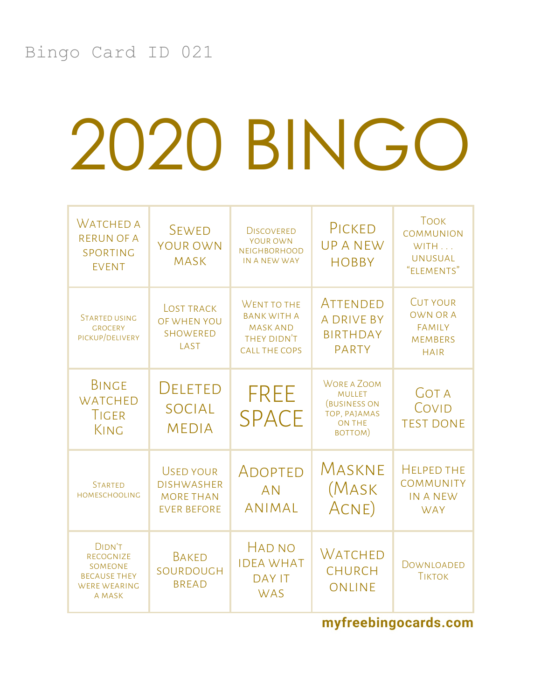| <b>WATCHED A</b><br><b>RERUN OF A</b><br>SPORTING<br><b>EVENT</b>                      | <b>SEWED</b><br>YOUR OWN<br><b>MASK</b>                                         | <b>DISCOVERED</b><br>YOUR OWN<br><b>NEIGHBORHOOD</b><br>IN A NEW WAY                        | PICKED<br><b>UPANEW</b><br><b>HOBBY</b>                                                                | <b>TOOK</b><br><b>COMMUNION</b><br>WITH<br><b>UNUSUAL</b><br>"ELEMENTS"              |
|----------------------------------------------------------------------------------------|---------------------------------------------------------------------------------|---------------------------------------------------------------------------------------------|--------------------------------------------------------------------------------------------------------|--------------------------------------------------------------------------------------|
| STARTED USING<br><b>GROCERY</b><br>PICKUP/DELIVERY                                     | <b>LOST TRACK</b><br>OF WHEN YOU<br><b>SHOWERED</b><br>LAST                     | WENT TO THE<br><b>BANK WITH A</b><br><b>MASK AND</b><br>THEY DIDN'T<br><b>CALL THE COPS</b> | <b>ATTENDED</b><br><b>A DRIVE BY</b><br><b>BIRTHDAY</b><br><b>PARTY</b>                                | <b>CUT YOUR</b><br><b>OWN OR A</b><br><b>FAMILY</b><br><b>MEMBERS</b><br><b>HAIR</b> |
| <b>BINGE</b><br><b>WATCHED</b><br>TIGER<br>KING                                        | <b>DELETED</b><br>SOCIAL<br><b>MEDIA</b>                                        | <b>FREE</b><br><b>SPACE</b>                                                                 | <b>WORE A ZOOM</b><br><b>MULLET</b><br><b>(BUSINESS ON</b><br>TOP, PAJAMAS<br><b>ON THE</b><br>BOTTOM) | <b>GOT A</b><br>COVID<br><b>TEST DONE</b>                                            |
| <b>STARTED</b><br><b>HOMESCHOOLING</b>                                                 | <b>USED YOUR</b><br><b>DISHWASHER</b><br><b>MORE THAN</b><br><b>EVER BEFORE</b> | <b>ADOPTED</b><br><b>AN</b><br><b>ANIMAL</b>                                                | MASKNE<br>(Mask<br>ACNE)                                                                               | <b>HELPED THE</b><br><b>COMMUNITY</b><br><b>IN A NEW</b><br><b>WAY</b>               |
| DIDN'T<br>RECOGNIZE<br>SOMEONE<br><b>BECAUSE THEY</b><br><b>WERE WEARING</b><br>A MASK | <b>BAKED</b><br>SOURDOUGH<br><b>BREAD</b>                                       | <b>HAD NO</b><br><b>IDEA WHAT</b><br><b>DAY IT</b><br><b>WAS</b>                            | <b>WATCHED</b><br><b>CHURCH</b><br><b>ONLINE</b>                                                       | DOWNLOADED<br><b>TIKTOK</b>                                                          |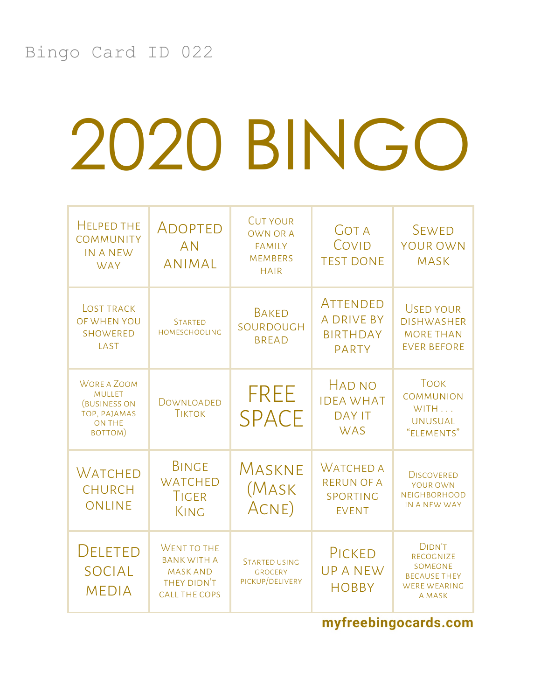| <b>HELPED THE</b><br><b>COMMUNITY</b><br><b>IN A NEW</b><br><b>WAY</b>                                 | ADOPTED<br><b>AN</b><br><b>ANIMAL</b>                                                              | <b>CUT YOUR</b><br><b>OWN OR A</b><br><b>FAMILY</b><br><b>MEMBERS</b><br><b>HAIR</b> | <b>GOT A</b><br>COVID<br><b>TEST DONE</b>                         | <b>SEWED</b><br><b>YOUR OWN</b><br><b>MASK</b>                                                |
|--------------------------------------------------------------------------------------------------------|----------------------------------------------------------------------------------------------------|--------------------------------------------------------------------------------------|-------------------------------------------------------------------|-----------------------------------------------------------------------------------------------|
| <b>LOST TRACK</b><br>OF WHEN YOU<br><b>SHOWERED</b><br>LAST                                            | <b>STARTED</b><br><b>HOMESCHOOLING</b>                                                             | <b>BAKED</b><br>SOURDOUGH<br><b>BREAD</b>                                            | ATTENDED<br><b>A DRIVE BY</b><br><b>BIRTHDAY</b><br><b>PARTY</b>  | <b>USED YOUR</b><br><b>DISHWASHER</b><br><b>MORE THAN</b><br><b>EVER BEFORE</b>               |
| <b>WORE A ZOOM</b><br><b>MULLET</b><br><b>(BUSINESS ON</b><br>TOP, PAJAMAS<br><b>ON THE</b><br>BOTTOM) | DOWNLOADED<br><b>TIKTOK</b>                                                                        | FREE<br><b>SPACE</b>                                                                 | <b>HAD NO</b><br><b>IDEA WHAT</b><br><b>DAY IT</b><br><b>WAS</b>  | <b>TOOK</b><br><b>COMMUNION</b><br>WITH<br><b>UNUSUAL</b><br>"ELEMENTS"                       |
| WATCHED<br><b>CHURCH</b><br>ONLINE                                                                     | <b>BINGE</b><br><b>WATCHED</b><br><b>TIGER</b><br>KING                                             | MASKNE<br>(Mask<br>ACNE)                                                             | <b>WATCHED A</b><br><b>RERUN OF A</b><br>SPORTING<br><b>EVENT</b> | <b>DISCOVERED</b><br>YOUR OWN<br><b>NEIGHBORHOOD</b><br>IN A NEW WAY                          |
| <b>DELETED</b><br><b>SOCIAL</b><br><b>MEDIA</b>                                                        | <b>WENT TO THE</b><br><b>BANK WITH A</b><br><b>MASK AND</b><br>THEY DIDN'T<br><b>CALL THE COPS</b> | <b>STARTED USING</b><br><b>GROCERY</b><br>PICKUP/DELIVERY                            | PICKED<br><b>UPANEW</b><br><b>HOBBY</b>                           | <b>DIDN'T</b><br>RECOGNIZE<br>SOMEONE<br><b>BECAUSE THEY</b><br><b>WERE WEARING</b><br>A MASK |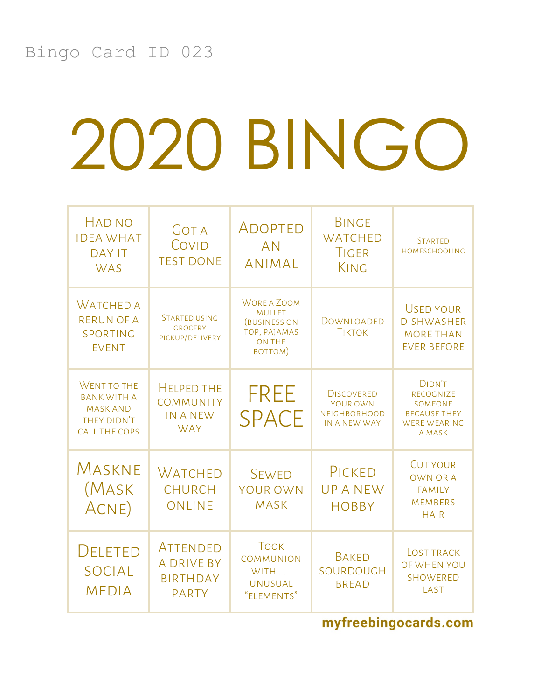| <b>HAD NO</b><br><b>IDEA WHAT</b><br><b>DAY IT</b><br><b>WAS</b>                            | <b>GOT A</b><br>COVID<br><b>TEST DONE</b>                              | ADOPTED<br><b>AN</b><br><b>ANIMAL</b>                                                                  | <b>BINGE</b><br><b>WATCHED</b><br>TIGER<br>KING                      | <b>STARTED</b><br><b>HOMESCHOOLING</b>                                                        |
|---------------------------------------------------------------------------------------------|------------------------------------------------------------------------|--------------------------------------------------------------------------------------------------------|----------------------------------------------------------------------|-----------------------------------------------------------------------------------------------|
| <b>WATCHED A</b><br><b>RERUN OF A</b><br>SPORTING<br><b>EVENT</b>                           | <b>STARTED USING</b><br><b>GROCERY</b><br>PICKUP/DELIVERY              | <b>WORE A ZOOM</b><br><b>MULLET</b><br><b>(BUSINESS ON</b><br>TOP, PAJAMAS<br><b>ON THE</b><br>BOTTOM) | DOWNLOADED<br><b>TIKTOK</b>                                          | <b>USED YOUR</b><br><b>DISHWASHER</b><br><b>MORE THAN</b><br><b>EVER BEFORE</b>               |
| WENT TO THE<br><b>BANK WITH A</b><br><b>MASK AND</b><br>THEY DIDN'T<br><b>CALL THE COPS</b> | <b>HELPED THE</b><br><b>COMMUNITY</b><br><b>IN A NEW</b><br><b>WAY</b> | FREE<br><b>SPACE</b>                                                                                   | <b>DISCOVERED</b><br>YOUR OWN<br><b>NEIGHBORHOOD</b><br>IN A NEW WAY | <b>DIDN'T</b><br>RECOGNIZE<br>SOMEONE<br><b>BECAUSE THEY</b><br><b>WERE WEARING</b><br>A MASK |
| MASKNE<br>(Mask<br>ACNE)                                                                    | Watched<br><b>CHURCH</b><br>ONLINE                                     | <b>SEWED</b><br><b>YOUR OWN</b><br><b>MASK</b>                                                         | PICKED<br><b>UPANEW</b><br><b>HOBBY</b>                              | <b>CUT YOUR</b><br><b>OWN OR A</b><br><b>FAMILY</b><br><b>MEMBERS</b><br><b>HAIR</b>          |
| <b>DELETED</b><br><b>SOCIAL</b><br><b>MEDIA</b>                                             | ATTENDED<br><b>A DRIVE BY</b><br><b>BIRTHDAY</b><br><b>PARTY</b>       | <b>TOOK</b><br><b>COMMUNION</b><br>WITH<br><b>UNUSUAL</b><br>"ELEMENTS"                                | <b>BAKED</b><br>SOURDOUGH<br><b>BREAD</b>                            | <b>LOST TRACK</b><br>OF WHEN YOU<br><b>SHOWERED</b><br>LAST                                   |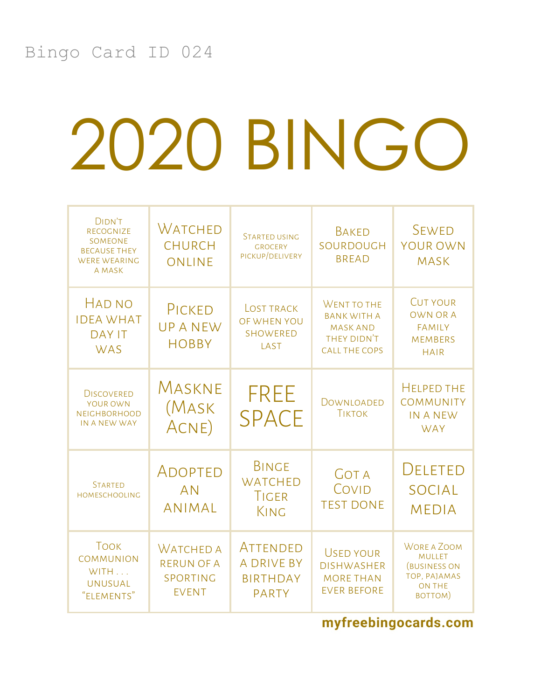| <b>DIDN'T</b><br><b>RECOGNIZE</b><br>SOMEONE<br><b>BECAUSE THEY</b><br><b>WERE WEARING</b><br>A MASK | <b>WATCHED</b><br><b>CHURCH</b><br>ONLINE                         | <b>STARTED USING</b><br><b>GROCERY</b><br>PICKUP/DELIVERY        | <b>BAKED</b><br>SOURDOUGH<br><b>BREAD</b>                                                   | <b>SEWED</b><br>YOUR OWN<br><b>MASK</b>                                                                |
|------------------------------------------------------------------------------------------------------|-------------------------------------------------------------------|------------------------------------------------------------------|---------------------------------------------------------------------------------------------|--------------------------------------------------------------------------------------------------------|
| <b>HAD NO</b><br><b>IDEA WHAT</b><br><b>DAY IT</b><br><b>WAS</b>                                     | PICKED<br><b>UPANEW</b><br><b>HOBBY</b>                           | <b>LOST TRACK</b><br>OF WHEN YOU<br>SHOWERED<br>LAST             | WENT TO THE<br><b>BANK WITH A</b><br><b>MASK AND</b><br>THEY DIDN'T<br><b>CALL THE COPS</b> | <b>CUT YOUR</b><br><b>OWN OR A</b><br><b>FAMILY</b><br><b>MEMBERS</b><br><b>HAIR</b>                   |
| <b>DISCOVERED</b><br>YOUR OWN<br><b>NEIGHBORHOOD</b><br>IN A NEW WAY                                 | MASKNE<br>(Mask<br>ACNE)                                          | <b>FREE</b><br><b>SPACE</b>                                      | DOWNLOADED<br><b>TIKTOK</b>                                                                 | <b>HELPED THE</b><br><b>COMMUNITY</b><br><b>IN A NEW</b><br><b>WAY</b>                                 |
| <b>STARTED</b><br><b>HOMESCHOOLING</b>                                                               | ADOPTED<br><b>AN</b><br><b>ANIMAL</b>                             | <b>BINGE</b><br><b>WATCHED</b><br><b>TIGER</b><br>KING           | <b>GOT A</b><br>COVID<br><b>TEST DONE</b>                                                   | <b>DELETED</b><br><b>SOCIAL</b><br><b>MEDIA</b>                                                        |
| <b>TOOK</b><br><b>COMMUNION</b><br>WITH<br><b>UNUSUAL</b><br>"ELEMENTS"                              | <b>WATCHED A</b><br><b>RERUN OF A</b><br>SPORTING<br><b>EVENT</b> | ATTENDED<br><b>A DRIVE BY</b><br><b>BIRTHDAY</b><br><b>PARTY</b> | <b>USED YOUR</b><br><b>DISHWASHER</b><br><b>MORE THAN</b><br><b>EVER BEFORE</b>             | <b>WORE A ZOOM</b><br><b>MULLET</b><br><b>(BUSINESS ON</b><br>TOP, PAJAMAS<br><b>ON THE</b><br>BOTTOM) |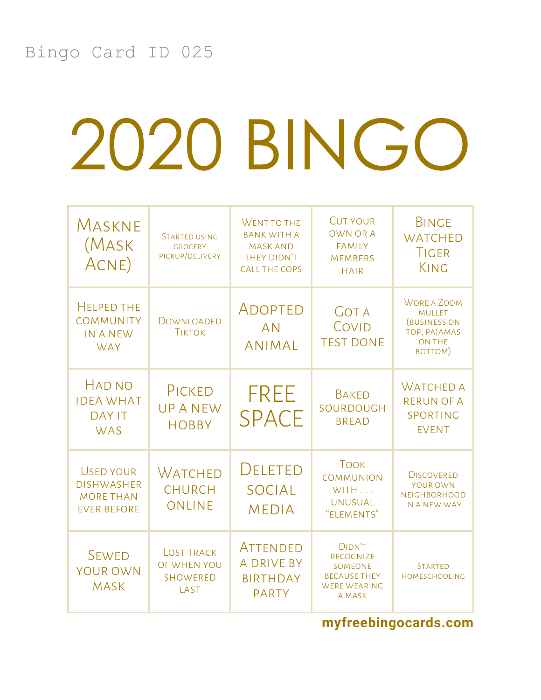| MASKNE<br>(Mask<br>ACNE)                                                        | <b>STARTED USING</b><br><b>GROCERY</b><br>PICKUP/DELIVERY   | WENT TO THE<br><b>BANK WITH A</b><br><b>MASK AND</b><br>THEY DIDN'T<br><b>CALL THE COPS</b> | <b>CUT YOUR</b><br><b>OWN OR A</b><br><b>FAMILY</b><br><b>MEMBERS</b><br><b>HAIR</b>                 | <b>BINGE</b><br><b>WATCHED</b><br>TIGER<br>KING                                                        |
|---------------------------------------------------------------------------------|-------------------------------------------------------------|---------------------------------------------------------------------------------------------|------------------------------------------------------------------------------------------------------|--------------------------------------------------------------------------------------------------------|
| <b>HELPED THE</b><br><b>COMMUNITY</b><br><b>IN A NEW</b><br><b>WAY</b>          | DOWNLOADED<br><b>TIKTOK</b>                                 | ADOPTED<br><b>AN</b><br><b>ANIMAL</b>                                                       | <b>GOT A</b><br>COVID<br><b>TEST DONE</b>                                                            | <b>WORE A ZOOM</b><br><b>MULLET</b><br><b>(BUSINESS ON</b><br>TOP, PAJAMAS<br><b>ON THE</b><br>BOTTOM) |
| <b>HAD NO</b><br><b>IDEA WHAT</b><br><b>DAY IT</b><br><b>WAS</b>                | PICKED<br><b>UPANEW</b><br><b>HOBBY</b>                     | <b>FREE</b><br><b>SPACE</b>                                                                 | <b>BAKED</b><br>SOURDOUGH<br><b>BREAD</b>                                                            | <b>WATCHED A</b><br><b>RERUN OF A</b><br>SPORTING<br><b>EVENT</b>                                      |
| <b>USED YOUR</b><br><b>DISHWASHER</b><br><b>MORE THAN</b><br><b>EVER BEFORE</b> | <b>WATCHED</b><br><b>CHURCH</b><br>ONLINE                   | <b>DELETED</b><br><b>SOCIAL</b><br><b>MEDIA</b>                                             | <b>TOOK</b><br><b>COMMUNION</b><br>WITH<br><b>UNUSUAL</b><br>"ELEMENTS"                              | <b>DISCOVERED</b><br>YOUR OWN<br><b>NEIGHBORHOOD</b><br>IN A NEW WAY                                   |
| <b>SEWED</b><br><b>YOUR OWN</b><br><b>MASK</b>                                  | <b>LOST TRACK</b><br>OF WHEN YOU<br><b>SHOWERED</b><br>LAST | ATTENDED<br><b>A DRIVE BY</b><br><b>BIRTHDAY</b><br><b>PARTY</b>                            | <b>DIDN'T</b><br><b>RECOGNIZE</b><br>SOMEONE<br><b>BECAUSE THEY</b><br><b>WERE WEARING</b><br>A MASK | <b>STARTED</b><br><b>HOMESCHOOLING</b>                                                                 |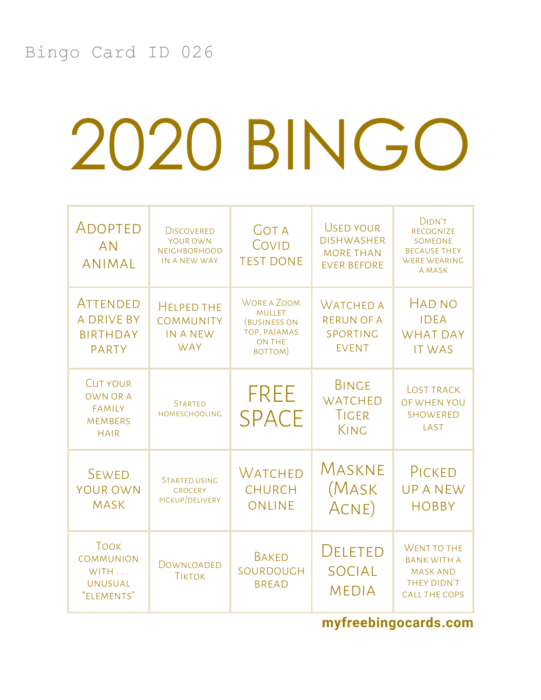| ADOPTED<br><b>AN</b><br><b>ANIMAL</b>                                         | <b>DISCOVERED</b><br>YOUR OWN<br><b>NEIGHBORHOOD</b><br>IN A NEW WAY   | <b>GOT A</b><br>COVID<br><b>TEST DONE</b>                                                             | <b>USED YOUR</b><br><b>DISHWASHER</b><br><b>MORE THAN</b><br><b>EVER BEFORE</b> | DIDN'T<br><b>RECOGNIZE</b><br><b>SOMEONE</b><br><b>BECAUSE THEY</b><br><b>WERE WEARING</b><br>A MASK |
|-------------------------------------------------------------------------------|------------------------------------------------------------------------|-------------------------------------------------------------------------------------------------------|---------------------------------------------------------------------------------|------------------------------------------------------------------------------------------------------|
| ATTENDED<br><b>A DRIVE BY</b><br><b>BIRTHDAY</b><br><b>PARTY</b>              | <b>HELPED THE</b><br><b>COMMUNITY</b><br><b>IN A NEW</b><br><b>WAY</b> | <b>WORE A ZOOM</b><br><b>MULLET</b><br><b>BUSINESS ON</b><br>TOP, PAJAMAS<br><b>ON THE</b><br>BOTTOM) | <b>WATCHED A</b><br><b>RERUN OF A</b><br>SPORTING<br><b>EVENT</b>               | HAD NO<br><b>IDEA</b><br><b>WHAT DAY</b><br><b>IT WAS</b>                                            |
| <b>CUT YOUR</b><br>OWN OR A<br><b>FAMILY</b><br><b>MEMBERS</b><br><b>HAIR</b> | <b>STARTED</b><br><b>HOMESCHOOLING</b>                                 | <b>FREE</b><br><b>SPACE</b>                                                                           | <b>BINGE</b><br><b>WATCHED</b><br>TIGER<br>KING                                 | <b>LOST TRACK</b><br>OF WHEN YOU<br><b>SHOWERED</b><br>LAST                                          |
| <b>SEWED</b><br><b>YOUR OWN</b><br><b>MASK</b>                                | <b>STARTED USING</b><br><b>GROCERY</b><br>PICKUP/DELIVERY              | WATCHED<br><b>CHURCH</b><br>ONLINE                                                                    | Maskne<br>(Mask<br>ACNE)                                                        | PICKED<br><b>UPANEW</b><br><b>HOBBY</b>                                                              |
| <b>TOOK</b><br><b>COMMUNION</b><br>WITH<br><b>UNUSUAL</b><br>"ELEMENTS"       | DOWNLOADED<br><b>TIKTOK</b>                                            | <b>BAKED</b><br>SOURDOUGH<br><b>BREAD</b>                                                             | DELETED<br><b>SOCIAL</b><br><b>MEDIA</b>                                        | WENT TO THE<br><b>BANK WITH A</b><br><b>MASK AND</b><br>THEY DIDN'T<br><b>CALL THE COPS</b>          |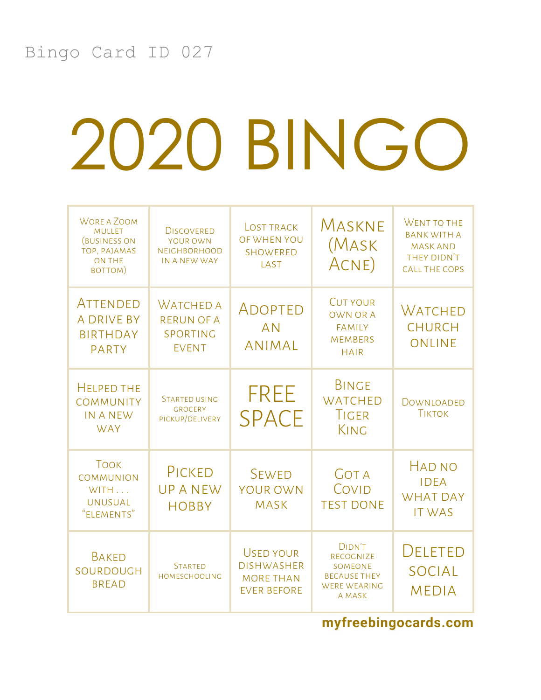| <b>WORE A ZOOM</b><br><b>MULLET</b><br><b>BUSINESS ON</b><br>TOP, PAJAMAS<br><b>ON THE</b><br>BOTTOM) | <b>DISCOVERED</b><br>YOUR OWN<br><b>NEIGHBORHOOD</b><br>IN A NEW WAY | <b>LOST TRACK</b><br>OF WHEN YOU<br><b>SHOWERED</b><br>LAST              | MASKNE<br>(Mask<br>ACNE)                                                                      | WENT TO THE<br><b>BANK WITH A</b><br><b>MASK AND</b><br>THEY DIDN'T<br><b>CALL THE COPS</b> |
|-------------------------------------------------------------------------------------------------------|----------------------------------------------------------------------|--------------------------------------------------------------------------|-----------------------------------------------------------------------------------------------|---------------------------------------------------------------------------------------------|
| ATTENDED<br><b>A DRIVE BY</b><br><b>BIRTHDAY</b><br><b>PARTY</b>                                      | <b>WATCHED A</b><br><b>RERUN OF A</b><br>SPORTING<br><b>EVENT</b>    | ADOPTED<br><b>AN</b><br><b>ANIMAL</b>                                    | <b>CUT YOUR</b><br><b>OWN OR A</b><br><b>FAMILY</b><br><b>MEMBERS</b><br><b>HAIR</b>          | WATCHED<br><b>CHURCH</b><br>ONLINE                                                          |
| <b>HELPED THE</b><br><b>COMMUNITY</b><br><b>IN A NEW</b><br><b>WAY</b>                                | <b>STARTED USING</b><br><b>GROCERY</b><br>PICKUP/DELIVERY            | <b>FREE</b><br><b>SPACE</b>                                              | <b>BINGE</b><br><b>WATCHED</b><br>TIGER<br>KING                                               | DOWNLOADED<br><b>TIKTOK</b>                                                                 |
| <b>TOOK</b><br><b>COMMUNION</b><br>WITH<br><b>UNUSUAL</b><br>"ELEMENTS"                               | PICKED<br><b>UPANEW</b><br><b>HOBBY</b>                              | <b>SEWED</b><br><b>YOUR OWN</b><br><b>MASK</b>                           | <b>GOT A</b><br>COVID<br><b>TEST DONE</b>                                                     | <b>HAD NO</b><br><b>IDEA</b><br><b>WHAT DAY</b><br><b>IT WAS</b>                            |
| <b>BAKED</b><br>SOURDOUGH<br><b>BREAD</b>                                                             | <b>STARTED</b><br>HOMESCHOOLING                                      | USED YOUR<br><b>DISHWASHER</b><br><b>MORE THAN</b><br><b>EVER BEFORE</b> | <b>DIDN'T</b><br>RECOGNIZE<br>SOMEONE<br><b>BECAUSE THEY</b><br><b>WERE WEARING</b><br>A MASK | <b>DELETED</b><br><b>SOCIAL</b><br><b>MEDIA</b>                                             |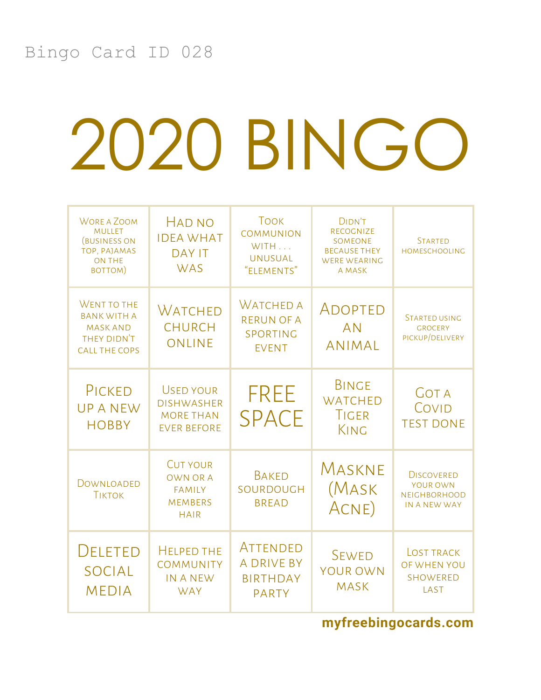| <b>WORE A ZOOM</b><br><b>MULLET</b><br><b>(BUSINESS ON</b><br>TOP, PAJAMAS<br><b>ON THE</b><br>BOTTOM) | HAD NO<br><b>IDEA WHAT</b><br><b>DAY IT</b><br><b>WAS</b>                            | <b>TOOK</b><br><b>COMMUNION</b><br>WITH<br><b>UNUSUAL</b><br>"ELEMENTS" | <b>DIDN'T</b><br>RECOGNIZE<br>SOMEONE<br><b>BECAUSE THEY</b><br><b>WERE WEARING</b><br>A MASK | <b>STARTED</b><br>HOMESCHOOLING                                      |
|--------------------------------------------------------------------------------------------------------|--------------------------------------------------------------------------------------|-------------------------------------------------------------------------|-----------------------------------------------------------------------------------------------|----------------------------------------------------------------------|
| WENT TO THE<br><b>BANK WITH A</b><br><b>MASK AND</b><br>THEY DIDN'T<br><b>CALL THE COPS</b>            | WATCHED<br><b>CHURCH</b><br><b>ONLINE</b>                                            | <b>WATCHED A</b><br><b>RERUN OF A</b><br>SPORTING<br><b>EVENT</b>       | ADOPTED<br><b>AN</b><br><b>ANIMAL</b>                                                         | <b>STARTED USING</b><br><b>GROCERY</b><br>PICKUP/DELIVERY            |
| PICKED<br><b>UPANEW</b><br><b>HOBBY</b>                                                                | <b>USED YOUR</b><br><b>DISHWASHER</b><br><b>MORE THAN</b><br><b>EVER BEFORE</b>      | <b>FREE</b><br><b>SPACE</b>                                             | <b>BINGE</b><br><b>WATCHED</b><br>TIGER<br>KING                                               | <b>GOT A</b><br>COVID<br><b>TEST DONE</b>                            |
| DOWNLOADED<br><b>TIKTOK</b>                                                                            | <b>CUT YOUR</b><br><b>OWN OR A</b><br><b>FAMILY</b><br><b>MEMBERS</b><br><b>HAIR</b> | <b>BAKED</b><br>SOURDOUGH<br><b>BREAD</b>                               | Maskne<br>(MASK<br>ACNE)                                                                      | <b>DISCOVERED</b><br>YOUR OWN<br><b>NEIGHBORHOOD</b><br>IN A NEW WAY |
| <b>DELETED</b><br><b>SOCIAL</b><br><b>MEDIA</b>                                                        | <b>HELPED THE</b><br><b>COMMUNITY</b><br><b>IN A NEW</b><br><b>WAY</b>               | ATTENDED<br><b>A DRIVE BY</b><br><b>BIRTHDAY</b><br><b>PARTY</b>        | <b>SEWED</b><br>YOUR OWN<br><b>MASK</b>                                                       | <b>LOST TRACK</b><br>OF WHEN YOU<br><b>SHOWERED</b><br>LAST          |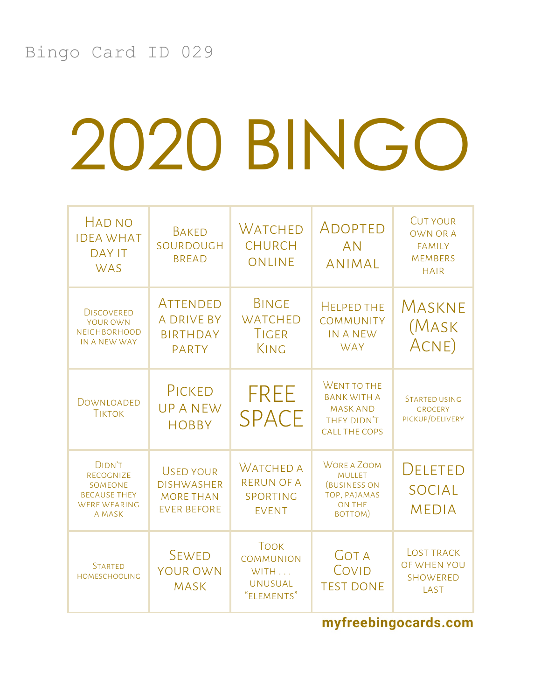| <b>HAD NO</b><br><b>IDEA WHAT</b><br><b>DAY IT</b><br><b>WAS</b>                                     | <b>BAKED</b><br>SOURDOUGH<br><b>BREAD</b>                                       | Watched<br><b>CHURCH</b><br>ONLINE                                      | ADOPTED<br><b>AN</b><br><b>ANIMAL</b>                                                                  | <b>CUT YOUR</b><br><b>OWN OR A</b><br><b>FAMILY</b><br><b>MEMBERS</b><br><b>HAIR</b> |
|------------------------------------------------------------------------------------------------------|---------------------------------------------------------------------------------|-------------------------------------------------------------------------|--------------------------------------------------------------------------------------------------------|--------------------------------------------------------------------------------------|
| <b>DISCOVERED</b><br>YOUR OWN<br><b>NEIGHBORHOOD</b><br>IN A NEW WAY                                 | ATTENDED<br><b>A DRIVE BY</b><br><b>BIRTHDAY</b><br><b>PARTY</b>                | <b>BINGE</b><br><b>WATCHED</b><br><b>TIGER</b><br>KING                  | <b>HELPED THE</b><br><b>COMMUNITY</b><br><b>IN A NEW</b><br><b>WAY</b>                                 | MASKNE<br>(Mask<br>ACNE)                                                             |
| DOWNLOADED<br><b>TIKTOK</b>                                                                          | PICKED<br><b>UPANEW</b><br><b>HOBBY</b>                                         | FREE<br><b>SPACE</b>                                                    | WENT TO THE<br><b>BANK WITH A</b><br><b>MASK AND</b><br>THEY DIDN'T<br><b>CALL THE COPS</b>            | <b>STARTED USING</b><br><b>GROCERY</b><br>PICKUP/DELIVERY                            |
| <b>DIDN'T</b><br>RECOGNIZE<br><b>SOMEONE</b><br><b>BECAUSE THEY</b><br><b>WERE WEARING</b><br>A MASK | <b>USED YOUR</b><br><b>DISHWASHER</b><br><b>MORE THAN</b><br><b>EVER BEFORE</b> | <b>WATCHED A</b><br><b>RERUN OF A</b><br>SPORTING<br><b>EVENT</b>       | <b>WORE A ZOOM</b><br><b>MULLET</b><br><b>(BUSINESS ON</b><br>TOP, PAJAMAS<br><b>ON THE</b><br>BOTTOM) | <b>DELETED</b><br><b>SOCIAL</b><br><b>MEDIA</b>                                      |
| <b>STARTED</b><br><b>HOMESCHOOLING</b>                                                               | <b>SEWED</b><br>YOUR OWN<br><b>MASK</b>                                         | <b>TOOK</b><br><b>COMMUNION</b><br>WITH<br><b>UNUSUAL</b><br>"ELEMENTS" | <b>GOT A</b><br>COVID<br><b>TEST DONE</b>                                                              | <b>LOST TRACK</b><br>OF WHEN YOU<br><b>SHOWERED</b><br>LAST                          |